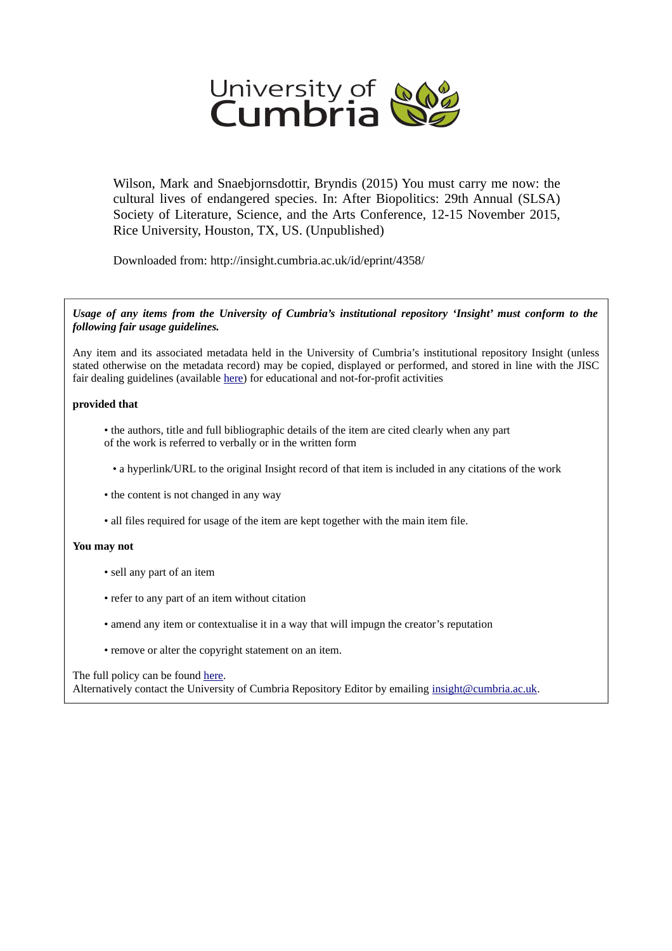

Wilson, Mark and Snaebjornsdottir, Bryndis (2015) You must carry me now: the cultural lives of endangered species. In: After Biopolitics: 29th Annual (SLSA) Society of Literature, Science, and the Arts Conference, 12-15 November 2015, Rice University, Houston, TX, US. (Unpublished)

Downloaded from: http://insight.cumbria.ac.uk/id/eprint/4358/

*Usage of any items from the University of Cumbria's institutional repository 'Insight' must conform to the following fair usage guidelines.*

Any item and its associated metadata held in the University of Cumbria's institutional repository Insight (unless stated otherwise on the metadata record) may be copied, displayed or performed, and stored in line with the JISC fair dealing guidelines (available [here\)](http://www.ukoln.ac.uk/services/elib/papers/pa/fair/) for educational and not-for-profit activities

#### **provided that**

• the authors, title and full bibliographic details of the item are cited clearly when any part of the work is referred to verbally or in the written form

• a hyperlink/URL to the original Insight record of that item is included in any citations of the work

- the content is not changed in any way
- all files required for usage of the item are kept together with the main item file.

#### **You may not**

- sell any part of an item
- refer to any part of an item without citation
- amend any item or contextualise it in a way that will impugn the creator's reputation
- remove or alter the copyright statement on an item.

#### The full policy can be found [here.](http://insight.cumbria.ac.uk/legal.html#section5)

Alternatively contact the University of Cumbria Repository Editor by emailing [insight@cumbria.ac.uk.](mailto:insight@cumbria.ac.uk)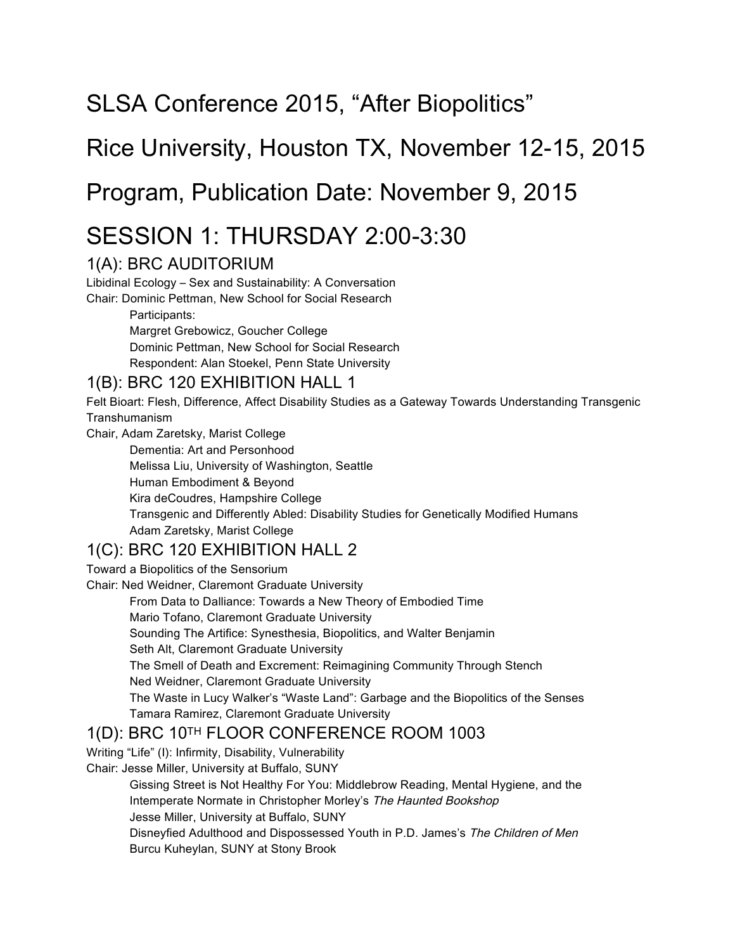# SLSA Conference 2015, "After Biopolitics"

## Rice University, Houston TX, November 12-15, 2015

## Program, Publication Date: November 9, 2015

## SESSION 1: THURSDAY 2:00-3:30

#### 1(A): BRC AUDITORIUM

Libidinal Ecology – Sex and Sustainability: A Conversation

Chair: Dominic Pettman, New School for Social Research

Participants:

Margret Grebowicz, Goucher College Dominic Pettman, New School for Social Research Respondent: Alan Stoekel, Penn State University

#### 1(B): BRC 120 EXHIBITION HALL 1

Felt Bioart: Flesh, Difference, Affect Disability Studies as a Gateway Towards Understanding Transgenic Transhumanism

Chair, Adam Zaretsky, Marist College

Dementia: Art and Personhood Melissa Liu, University of Washington, Seattle Human Embodiment & Beyond Kira deCoudres, Hampshire College Transgenic and Differently Abled: Disability Studies for Genetically Modified Humans Adam Zaretsky, Marist College

#### 1(C): BRC 120 EXHIBITION HALL 2

Toward a Biopolitics of the Sensorium

Chair: Ned Weidner, Claremont Graduate University

From Data to Dalliance: Towards a New Theory of Embodied Time

Mario Tofano, Claremont Graduate University

Sounding The Artifice: Synesthesia, Biopolitics, and Walter Benjamin

Seth Alt, Claremont Graduate University

The Smell of Death and Excrement: Reimagining Community Through Stench

Ned Weidner, Claremont Graduate University

The Waste in Lucy Walker's "Waste Land": Garbage and the Biopolitics of the Senses Tamara Ramirez, Claremont Graduate University

#### 1(D): BRC 10TH FLOOR CONFERENCE ROOM 1003

Writing "Life" (I): Infirmity, Disability, Vulnerability

Chair: Jesse Miller, University at Buffalo, SUNY

Gissing Street is Not Healthy For You: Middlebrow Reading, Mental Hygiene, and the Intemperate Normate in Christopher Morley's The Haunted Bookshop

Jesse Miller, University at Buffalo, SUNY

Disneyfied Adulthood and Dispossessed Youth in P.D. James's The Children of Men Burcu Kuheylan, SUNY at Stony Brook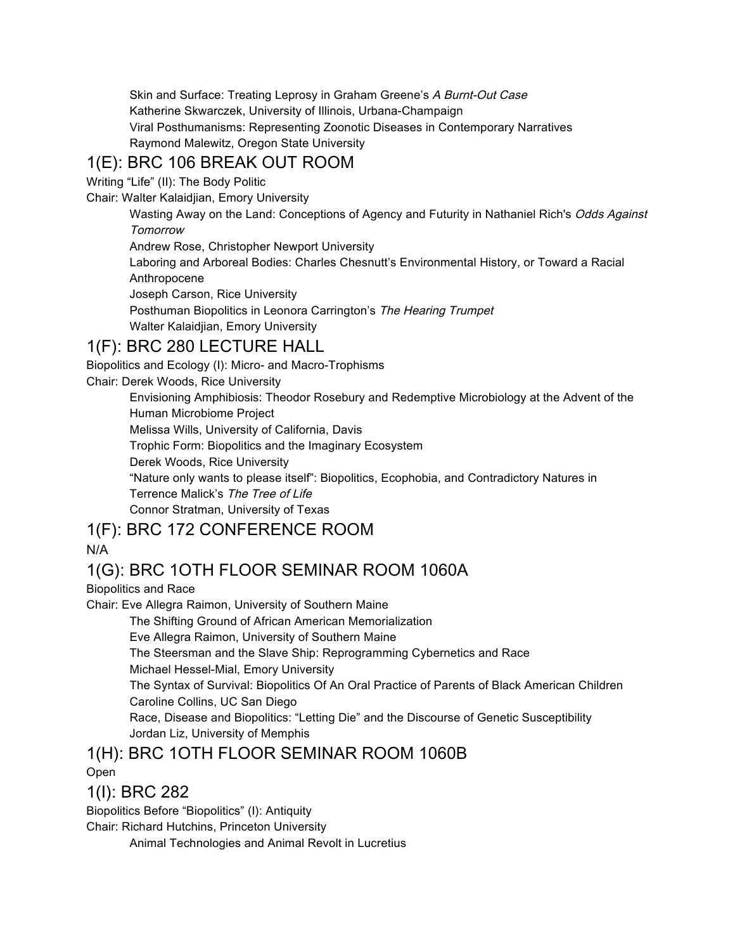Skin and Surface: Treating Leprosy in Graham Greene's A Burnt-Out Case Katherine Skwarczek, University of Illinois, Urbana-Champaign Viral Posthumanisms: Representing Zoonotic Diseases in Contemporary Narratives Raymond Malewitz, Oregon State University

## 1(E): BRC 106 BREAK OUT ROOM

Writing "Life" (II): The Body Politic

Chair: Walter Kalaidjian, Emory University

Wasting Away on the Land: Conceptions of Agency and Futurity in Nathaniel Rich's Odds Against **Tomorrow** 

Andrew Rose, Christopher Newport University

Laboring and Arboreal Bodies: Charles Chesnutt's Environmental History, or Toward a Racial Anthropocene

Joseph Carson, Rice University

Posthuman Biopolitics in Leonora Carrington's The Hearing Trumpet Walter Kalaidjian, Emory University

#### 1(F): BRC 280 LECTURE HALL

Biopolitics and Ecology (I): Micro- and Macro-Trophisms

Chair: Derek Woods, Rice University

Envisioning Amphibiosis: Theodor Rosebury and Redemptive Microbiology at the Advent of the Human Microbiome Project

Melissa Wills, University of California, Davis

Trophic Form: Biopolitics and the Imaginary Ecosystem

Derek Woods, Rice University

"Nature only wants to please itself": Biopolitics, Ecophobia, and Contradictory Natures in Terrence Malick's The Tree of Life

Connor Stratman, University of Texas

## 1(F): BRC 172 CONFERENCE ROOM

#### N/A

## 1(G): BRC 1OTH FLOOR SEMINAR ROOM 1060A

Biopolitics and Race

Chair: Eve Allegra Raimon, University of Southern Maine

The Shifting Ground of African American Memorialization

Eve Allegra Raimon, University of Southern Maine

The Steersman and the Slave Ship: Reprogramming Cybernetics and Race

Michael Hessel-Mial, Emory University

The Syntax of Survival: Biopolitics Of An Oral Practice of Parents of Black American Children Caroline Collins, UC San Diego

Race, Disease and Biopolitics: "Letting Die" and the Discourse of Genetic Susceptibility Jordan Liz, University of Memphis

## 1(H): BRC 1OTH FLOOR SEMINAR ROOM 1060B

Open

#### 1(I): BRC 282

Biopolitics Before "Biopolitics" (I): Antiquity

Chair: Richard Hutchins, Princeton University

Animal Technologies and Animal Revolt in Lucretius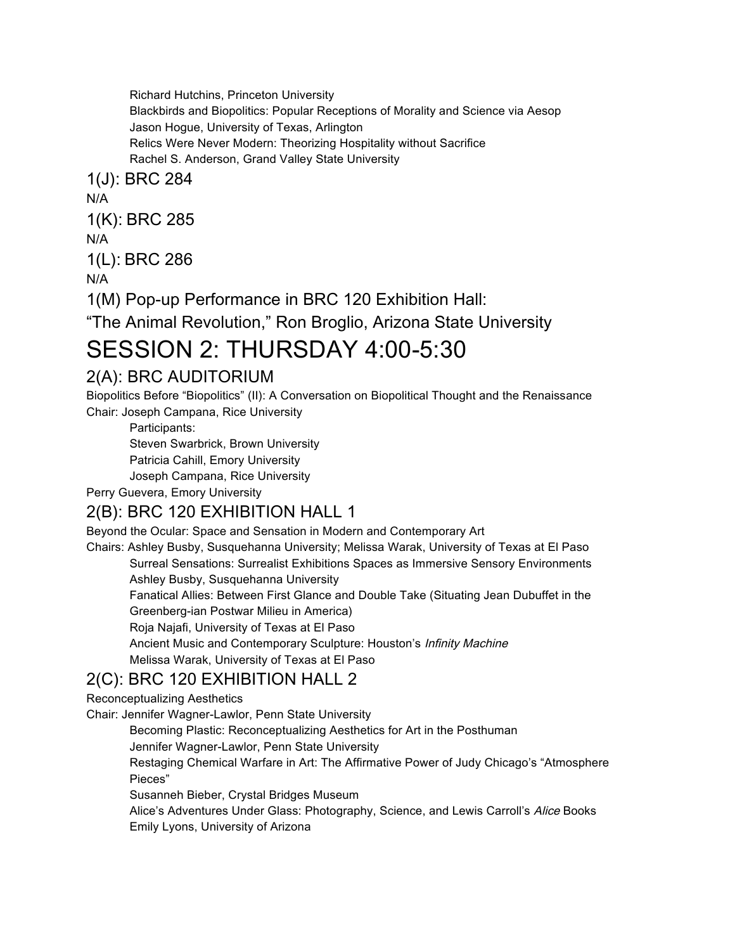Richard Hutchins, Princeton University Blackbirds and Biopolitics: Popular Receptions of Morality and Science via Aesop Jason Hogue, University of Texas, Arlington Relics Were Never Modern: Theorizing Hospitality without Sacrifice Rachel S. Anderson, Grand Valley State University

1(J): BRC 284

N/A

1(K): BRC 285

N/A

1(L): BRC 286

N/A

1(M) Pop-up Performance in BRC 120 Exhibition Hall:

"The Animal Revolution," Ron Broglio, Arizona State University

## SESSION 2: THURSDAY 4:00-5:30

## 2(A): BRC AUDITORIUM

Biopolitics Before "Biopolitics" (II): A Conversation on Biopolitical Thought and the Renaissance Chair: Joseph Campana, Rice University

Participants:

Steven Swarbrick, Brown University

Patricia Cahill, Emory University

Joseph Campana, Rice University

Perry Guevera, Emory University

#### 2(B): BRC 120 EXHIBITION HALL 1

Beyond the Ocular: Space and Sensation in Modern and Contemporary Art

Chairs: Ashley Busby, Susquehanna University; Melissa Warak, University of Texas at El Paso Surreal Sensations: Surrealist Exhibitions Spaces as Immersive Sensory Environments Ashley Busby, Susquehanna University

Fanatical Allies: Between First Glance and Double Take (Situating Jean Dubuffet in the Greenberg-ian Postwar Milieu in America)

Roja Najafi, University of Texas at El Paso

Ancient Music and Contemporary Sculpture: Houston's Infinity Machine

Melissa Warak, University of Texas at El Paso

## 2(C): BRC 120 EXHIBITION HALL 2

Reconceptualizing Aesthetics

Chair: Jennifer Wagner-Lawlor, Penn State University

Becoming Plastic: Reconceptualizing Aesthetics for Art in the Posthuman

Jennifer Wagner-Lawlor, Penn State University

Restaging Chemical Warfare in Art: The Affirmative Power of Judy Chicago's "Atmosphere Pieces"

Susanneh Bieber, Crystal Bridges Museum

Alice's Adventures Under Glass: Photography, Science, and Lewis Carroll's Alice Books Emily Lyons, University of Arizona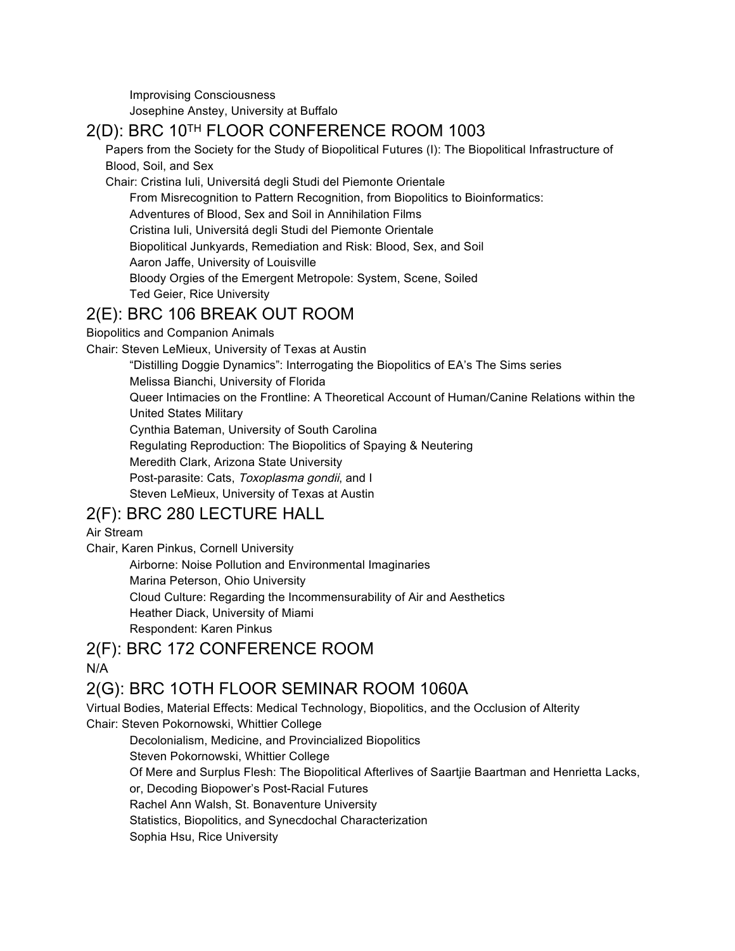Improvising Consciousness Josephine Anstey, University at Buffalo

## 2(D): BRC 10TH FLOOR CONFERENCE ROOM 1003

Papers from the Society for the Study of Biopolitical Futures (I): The Biopolitical Infrastructure of Blood, Soil, and Sex

Chair: Cristina Iuli, Universitá degli Studi del Piemonte Orientale

From Misrecognition to Pattern Recognition, from Biopolitics to Bioinformatics:

Adventures of Blood, Sex and Soil in Annihilation Films

Cristina Iuli, Universitá degli Studi del Piemonte Orientale

Biopolitical Junkyards, Remediation and Risk: Blood, Sex, and Soil

Aaron Jaffe, University of Louisville

Bloody Orgies of the Emergent Metropole: System, Scene, Soiled

Ted Geier, Rice University

#### 2(E): BRC 106 BREAK OUT ROOM

Biopolitics and Companion Animals

Chair: Steven LeMieux, University of Texas at Austin

"Distilling Doggie Dynamics": Interrogating the Biopolitics of EA's The Sims series

Melissa Bianchi, University of Florida

Queer Intimacies on the Frontline: A Theoretical Account of Human/Canine Relations within the United States Military

Cynthia Bateman, University of South Carolina

Regulating Reproduction: The Biopolitics of Spaying & Neutering

Meredith Clark, Arizona State University

Post-parasite: Cats, Toxoplasma gondii, and I

Steven LeMieux, University of Texas at Austin

#### 2(F): BRC 280 LECTURE HALL

Air Stream

Chair, Karen Pinkus, Cornell University

Airborne: Noise Pollution and Environmental Imaginaries Marina Peterson, Ohio University Cloud Culture: Regarding the Incommensurability of Air and Aesthetics Heather Diack, University of Miami Respondent: Karen Pinkus

2(F): BRC 172 CONFERENCE ROOM N/A

## 2(G): BRC 1OTH FLOOR SEMINAR ROOM 1060A

Virtual Bodies, Material Effects: Medical Technology, Biopolitics, and the Occlusion of Alterity Chair: Steven Pokornowski, Whittier College

Decolonialism, Medicine, and Provincialized Biopolitics Steven Pokornowski, Whittier College Of Mere and Surplus Flesh: The Biopolitical Afterlives of Saartjie Baartman and Henrietta Lacks, or, Decoding Biopower's Post-Racial Futures Rachel Ann Walsh, St. Bonaventure University Statistics, Biopolitics, and Synecdochal Characterization Sophia Hsu, Rice University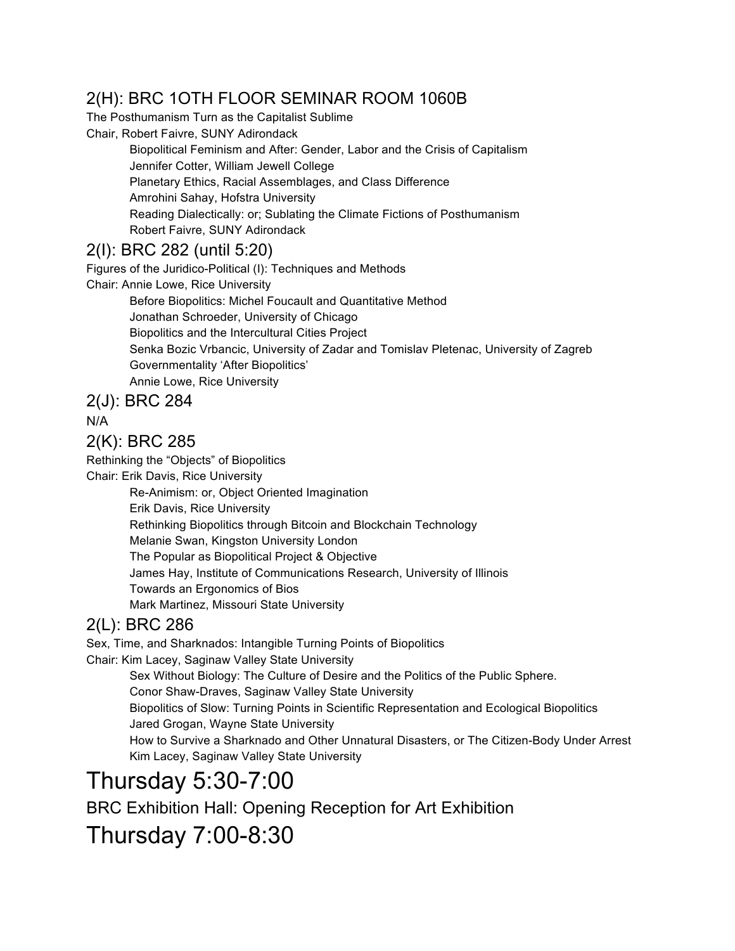## 2(H): BRC 1OTH FLOOR SEMINAR ROOM 1060B

The Posthumanism Turn as the Capitalist Sublime

Chair, Robert Faivre, SUNY Adirondack

Biopolitical Feminism and After: Gender, Labor and the Crisis of Capitalism Jennifer Cotter, William Jewell College Planetary Ethics, Racial Assemblages, and Class Difference Amrohini Sahay, Hofstra University Reading Dialectically: or; Sublating the Climate Fictions of Posthumanism Robert Faivre, SUNY Adirondack

## 2(I): BRC 282 (until 5:20)

Figures of the Juridico-Political (I): Techniques and Methods Chair: Annie Lowe, Rice University Before Biopolitics: Michel Foucault and Quantitative Method Jonathan Schroeder, University of Chicago Biopolitics and the Intercultural Cities Project Senka Bozic Vrbancic, University of Zadar and Tomislav Pletenac, University of Zagreb Governmentality 'After Biopolitics' Annie Lowe, Rice University

2(J): BRC 284

N/A

#### 2(K): BRC 285

Rethinking the "Objects" of Biopolitics

Chair: Erik Davis, Rice University

Re-Animism: or, Object Oriented Imagination Erik Davis, Rice University Rethinking Biopolitics through Bitcoin and Blockchain Technology Melanie Swan, Kingston University London The Popular as Biopolitical Project & Objective James Hay, Institute of Communications Research, University of Illinois Towards an Ergonomics of Bios Mark Martinez, Missouri State University

## 2(L): BRC 286

Sex, Time, and Sharknados: Intangible Turning Points of Biopolitics Chair: Kim Lacey, Saginaw Valley State University Sex Without Biology: The Culture of Desire and the Politics of the Public Sphere. Conor Shaw-Draves, Saginaw Valley State University Biopolitics of Slow: Turning Points in Scientific Representation and Ecological Biopolitics Jared Grogan, Wayne State University How to Survive a Sharknado and Other Unnatural Disasters, or The Citizen-Body Under Arrest Kim Lacey, Saginaw Valley State University

# Thursday 5:30-7:00

BRC Exhibition Hall: Opening Reception for Art Exhibition

## Thursday 7:00-8:30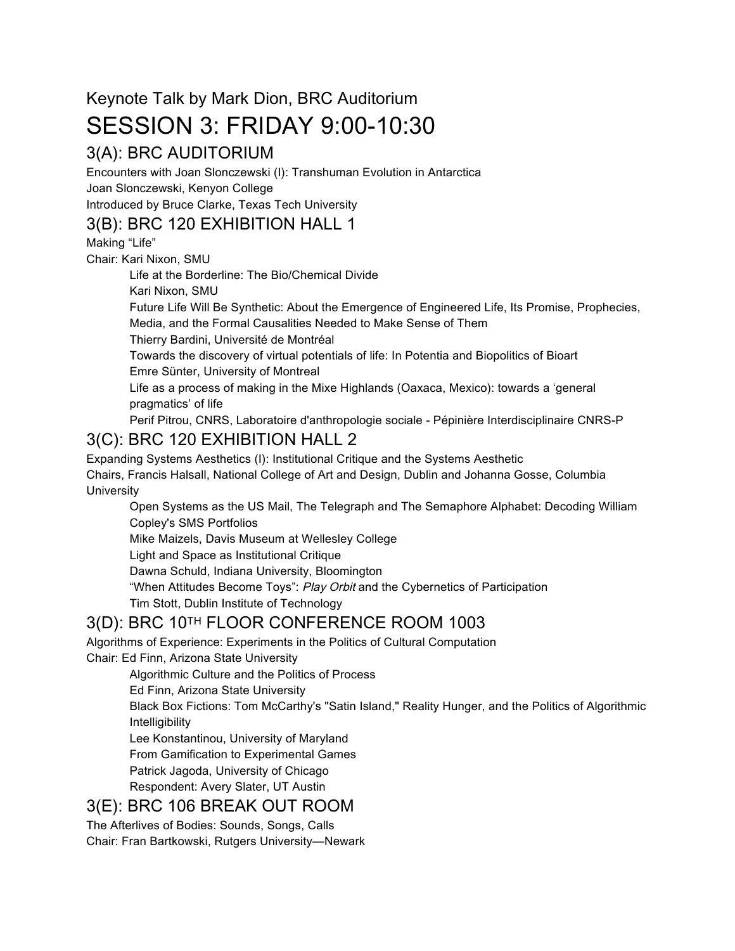## Keynote Talk by Mark Dion, BRC Auditorium SESSION 3: FRIDAY 9:00-10:30

## 3(A): BRC AUDITORIUM

Encounters with Joan Slonczewski (I): Transhuman Evolution in Antarctica Joan Slonczewski, Kenyon College

Introduced by Bruce Clarke, Texas Tech University

## 3(B): BRC 120 EXHIBITION HALL 1

Making "Life"

Chair: Kari Nixon, SMU

Life at the Borderline: The Bio/Chemical Divide

Kari Nixon, SMU

Future Life Will Be Synthetic: About the Emergence of Engineered Life, Its Promise, Prophecies, Media, and the Formal Causalities Needed to Make Sense of Them

Thierry Bardini, Université de Montréal

Towards the discovery of virtual potentials of life: In Potentia and Biopolitics of Bioart Emre Sünter, University of Montreal

Life as a process of making in the Mixe Highlands (Oaxaca, Mexico): towards a 'general pragmatics' of life

Perif Pitrou, CNRS, Laboratoire d'anthropologie sociale - Pépinière Interdisciplinaire CNRS-P

## 3(C): BRC 120 EXHIBITION HALL 2

Expanding Systems Aesthetics (I): Institutional Critique and the Systems Aesthetic Chairs, Francis Halsall, National College of Art and Design, Dublin and Johanna Gosse, Columbia **University** 

Open Systems as the US Mail, The Telegraph and The Semaphore Alphabet: Decoding William Copley's SMS Portfolios

Mike Maizels, Davis Museum at Wellesley College

Light and Space as Institutional Critique

Dawna Schuld, Indiana University, Bloomington

"When Attitudes Become Toys": Play Orbit and the Cybernetics of Participation

Tim Stott, Dublin Institute of Technology

## 3(D): BRC 10TH FLOOR CONFERENCE ROOM 1003

Algorithms of Experience: Experiments in the Politics of Cultural Computation Chair: Ed Finn, Arizona State University

Algorithmic Culture and the Politics of Process

Ed Finn, Arizona State University

Black Box Fictions: Tom McCarthy's "Satin Island," Reality Hunger, and the Politics of Algorithmic Intelligibility

Lee Konstantinou, University of Maryland

From Gamification to Experimental Games

Patrick Jagoda, University of Chicago

Respondent: Avery Slater, UT Austin

## 3(E): BRC 106 BREAK OUT ROOM

The Afterlives of Bodies: Sounds, Songs, Calls

Chair: Fran Bartkowski, Rutgers University—Newark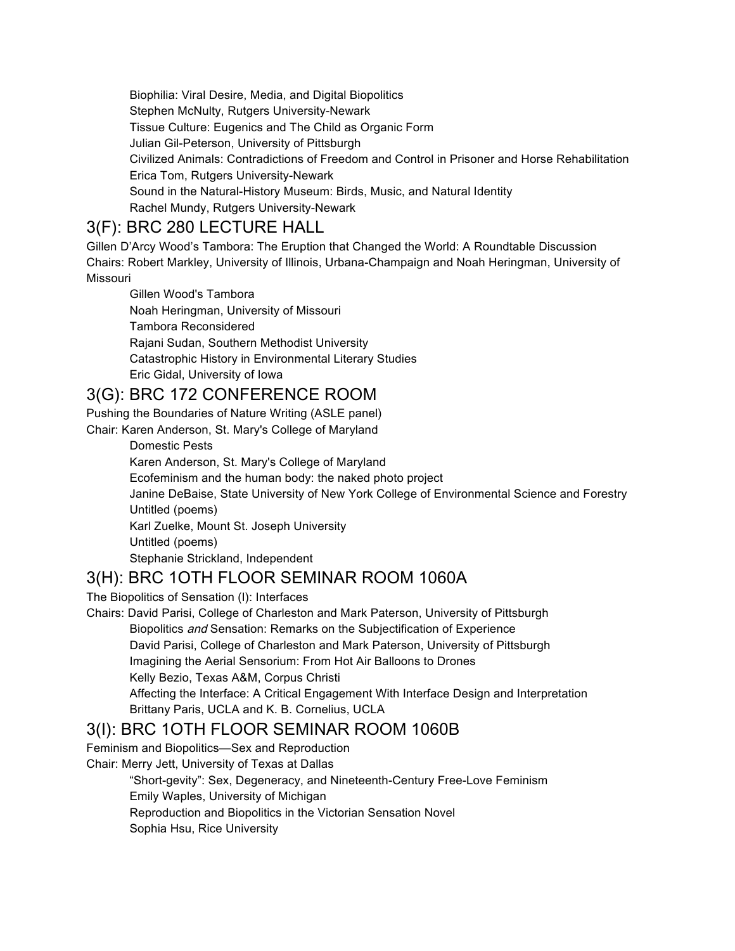Biophilia: Viral Desire, Media, and Digital Biopolitics Stephen McNulty, Rutgers University-Newark Tissue Culture: Eugenics and The Child as Organic Form Julian Gil-Peterson, University of Pittsburgh Civilized Animals: Contradictions of Freedom and Control in Prisoner and Horse Rehabilitation Erica Tom, Rutgers University-Newark Sound in the Natural-History Museum: Birds, Music, and Natural Identity Rachel Mundy, Rutgers University-Newark

### 3(F): BRC 280 LECTURE HALL

Gillen D'Arcy Wood's Tambora: The Eruption that Changed the World: A Roundtable Discussion Chairs: Robert Markley, University of Illinois, Urbana-Champaign and Noah Heringman, University of Missouri

Gillen Wood's Tambora Noah Heringman, University of Missouri Tambora Reconsidered Rajani Sudan, Southern Methodist University Catastrophic History in Environmental Literary Studies Eric Gidal, University of Iowa

## 3(G): BRC 172 CONFERENCE ROOM

Pushing the Boundaries of Nature Writing (ASLE panel) Chair: Karen Anderson, St. Mary's College of Maryland

> Domestic Pests Karen Anderson, St. Mary's College of Maryland Ecofeminism and the human body: the naked photo project Janine DeBaise, State University of New York College of Environmental Science and Forestry Untitled (poems) Karl Zuelke, Mount St. Joseph University Untitled (poems) Stephanie Strickland, Independent

## 3(H): BRC 1OTH FLOOR SEMINAR ROOM 1060A

The Biopolitics of Sensation (I): Interfaces

Chairs: David Parisi, College of Charleston and Mark Paterson, University of Pittsburgh Biopolitics and Sensation: Remarks on the Subjectification of Experience David Parisi, College of Charleston and Mark Paterson, University of Pittsburgh Imagining the Aerial Sensorium: From Hot Air Balloons to Drones Kelly Bezio, Texas A&M, Corpus Christi Affecting the Interface: A Critical Engagement With Interface Design and Interpretation

Brittany Paris, UCLA and K. B. Cornelius, UCLA

## 3(I): BRC 1OTH FLOOR SEMINAR ROOM 1060B

Feminism and Biopolitics—Sex and Reproduction

Chair: Merry Jett, University of Texas at Dallas

"Short-gevity": Sex, Degeneracy, and Nineteenth-Century Free-Love Feminism Emily Waples, University of Michigan Reproduction and Biopolitics in the Victorian Sensation Novel Sophia Hsu, Rice University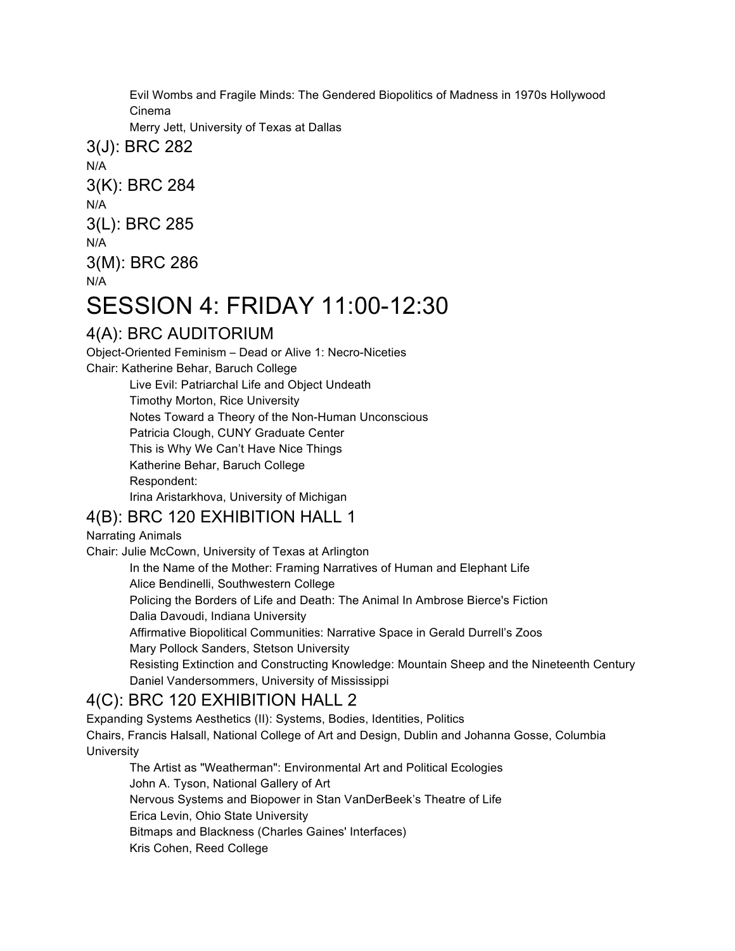Evil Wombs and Fragile Minds: The Gendered Biopolitics of Madness in 1970s Hollywood Cinema

Merry Jett, University of Texas at Dallas

3(J): BRC 282 N/A 3(K): BRC 284 N/A 3(L): BRC 285 N/A 3(M): BRC 286 N/A

## SESSION 4: FRIDAY 11:00-12:30

## 4(A): BRC AUDITORIUM

Object-Oriented Feminism – Dead or Alive 1: Necro-Niceties

Chair: Katherine Behar, Baruch College

Live Evil: Patriarchal Life and Object Undeath

Timothy Morton, Rice University

Notes Toward a Theory of the Non-Human Unconscious

Patricia Clough, CUNY Graduate Center

This is Why We Can't Have Nice Things

Katherine Behar, Baruch College

Respondent:

Irina Aristarkhova, University of Michigan

## 4(B): BRC 120 EXHIBITION HALL 1

#### Narrating Animals

Chair: Julie McCown, University of Texas at Arlington

In the Name of the Mother: Framing Narratives of Human and Elephant Life

Alice Bendinelli, Southwestern College

Policing the Borders of Life and Death: The Animal In Ambrose Bierce's Fiction Dalia Davoudi, Indiana University

Affirmative Biopolitical Communities: Narrative Space in Gerald Durrell's Zoos Mary Pollock Sanders, Stetson University

Resisting Extinction and Constructing Knowledge: Mountain Sheep and the Nineteenth Century Daniel Vandersommers, University of Mississippi

## 4(C): BRC 120 EXHIBITION HALL 2

Expanding Systems Aesthetics (II): Systems, Bodies, Identities, Politics Chairs, Francis Halsall, National College of Art and Design, Dublin and Johanna Gosse, Columbia **University** 

The Artist as "Weatherman": Environmental Art and Political Ecologies John A. Tyson, National Gallery of Art Nervous Systems and Biopower in Stan VanDerBeek's Theatre of Life Erica Levin, Ohio State University Bitmaps and Blackness (Charles Gaines' Interfaces) Kris Cohen, Reed College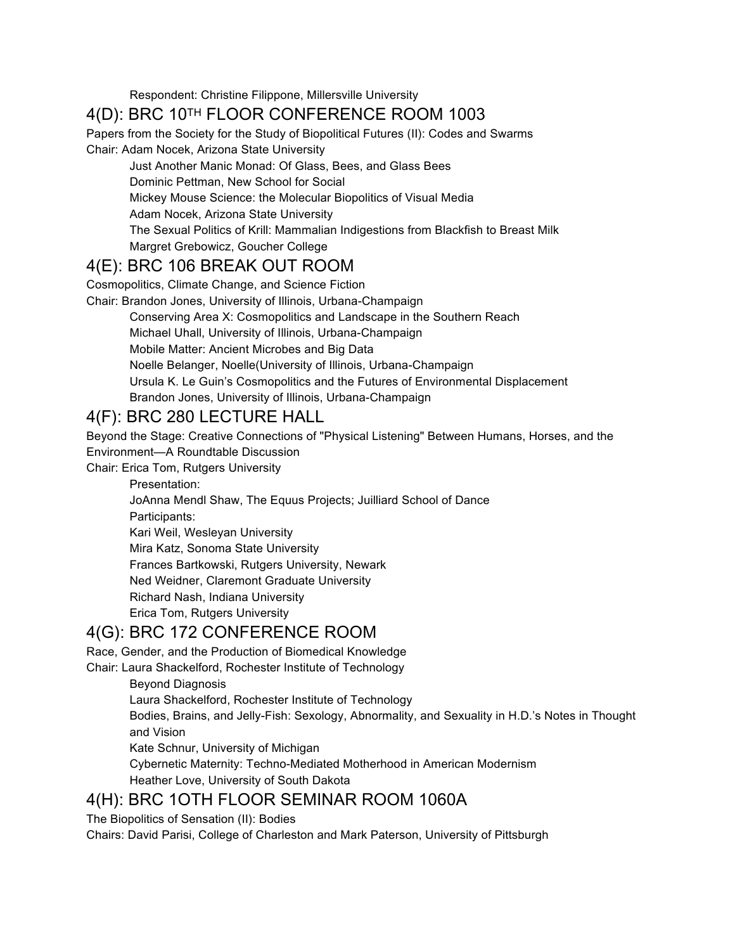Respondent: Christine Filippone, Millersville University

## 4(D): BRC 10TH FLOOR CONFERENCE ROOM 1003

Papers from the Society for the Study of Biopolitical Futures (II): Codes and Swarms Chair: Adam Nocek, Arizona State University

Just Another Manic Monad: Of Glass, Bees, and Glass Bees Dominic Pettman, New School for Social Mickey Mouse Science: the Molecular Biopolitics of Visual Media Adam Nocek, Arizona State University The Sexual Politics of Krill: Mammalian Indigestions from Blackfish to Breast Milk Margret Grebowicz, Goucher College

#### 4(E): BRC 106 BREAK OUT ROOM

Cosmopolitics, Climate Change, and Science Fiction

Chair: Brandon Jones, University of Illinois, Urbana-Champaign

Conserving Area X: Cosmopolitics and Landscape in the Southern Reach

Michael Uhall, University of Illinois, Urbana-Champaign

Mobile Matter: Ancient Microbes and Big Data

Noelle Belanger, Noelle(University of Illinois, Urbana-Champaign

Ursula K. Le Guin's Cosmopolitics and the Futures of Environmental Displacement

Brandon Jones, University of Illinois, Urbana-Champaign

#### 4(F): BRC 280 LECTURE HALL

Beyond the Stage: Creative Connections of "Physical Listening" Between Humans, Horses, and the Environment—A Roundtable Discussion

Chair: Erica Tom, Rutgers University

Presentation:

JoAnna Mendl Shaw, The Equus Projects; Juilliard School of Dance Participants:

Kari Weil, Wesleyan University

Mira Katz, Sonoma State University

Frances Bartkowski, Rutgers University, Newark

Ned Weidner, Claremont Graduate University

Richard Nash, Indiana University

Erica Tom, Rutgers University

#### 4(G): BRC 172 CONFERENCE ROOM

Race, Gender, and the Production of Biomedical Knowledge

Chair: Laura Shackelford, Rochester Institute of Technology

Beyond Diagnosis

Laura Shackelford, Rochester Institute of Technology

Bodies, Brains, and Jelly-Fish: Sexology, Abnormality, and Sexuality in H.D.'s Notes in Thought and Vision

Kate Schnur, University of Michigan

Cybernetic Maternity: Techno-Mediated Motherhood in American Modernism Heather Love, University of South Dakota

## 4(H): BRC 1OTH FLOOR SEMINAR ROOM 1060A

The Biopolitics of Sensation (II): Bodies

Chairs: David Parisi, College of Charleston and Mark Paterson, University of Pittsburgh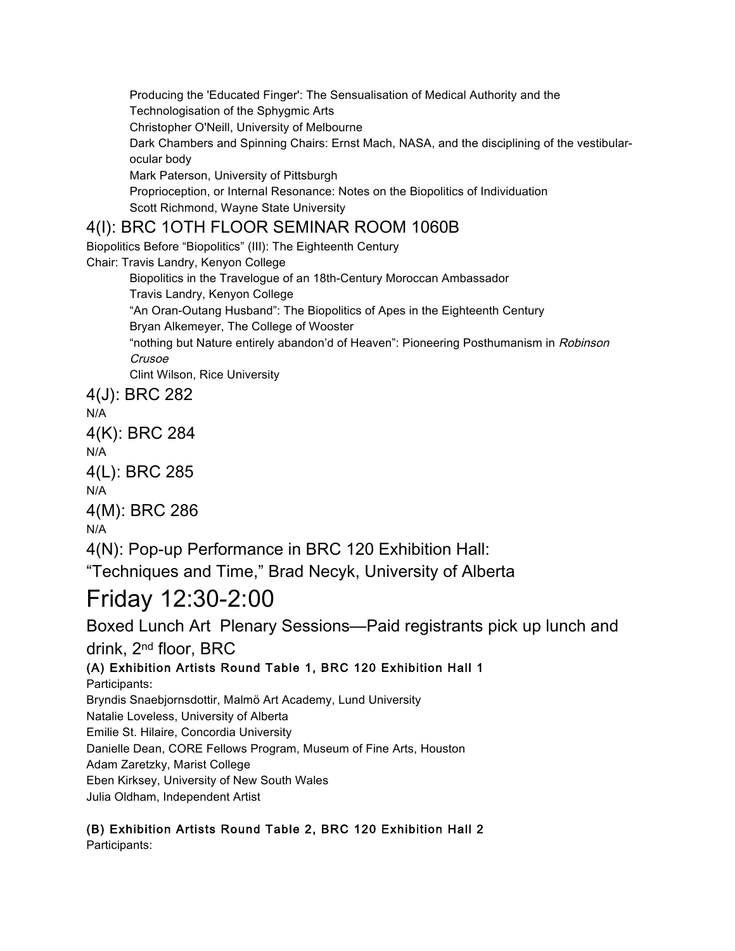Producing the 'Educated Finger': The Sensualisation of Medical Authority and the Technologisation of the Sphygmic Arts Christopher O'Neill, University of Melbourne Dark Chambers and Spinning Chairs: Ernst Mach, NASA, and the disciplining of the vestibularocular body Mark Paterson, University of Pittsburgh Proprioception, or Internal Resonance: Notes on the Biopolitics of Individuation Scott Richmond, Wayne State University

## 4(I): BRC 1OTH FLOOR SEMINAR ROOM 1060B

Biopolitics Before "Biopolitics" (III): The Eighteenth Century Chair: Travis Landry, Kenyon College Biopolitics in the Travelogue of an 18th-Century Moroccan Ambassador Travis Landry, Kenyon College "An Oran-Outang Husband": The Biopolitics of Apes in the Eighteenth Century Bryan Alkemeyer, The College of Wooster "nothing but Nature entirely abandon'd of Heaven": Pioneering Posthumanism in Robinson Crusoe Clint Wilson, Rice University 4(J): BRC 282

N/A 4(K): BRC 284 N/A 4(L): BRC 285 N/A 4(M): BRC 286 N/A 4(N): Pop-up Performance in BRC 120 Exhibition Hall:

"Techniques and Time," Brad Necyk, University of Alberta

# Friday 12:30-2:00

Boxed Lunch Art Plenary Sessions—Paid registrants pick up lunch and drink, 2nd floor, BRC

(A) Exhibition Artists Round Table 1, BRC 120 Exhibition Hall 1 Participants: Bryndis Snaebjornsdottir, Malmö Art Academy, Lund University Natalie Loveless, University of Alberta Emilie St. Hilaire, Concordia University Danielle Dean, CORE Fellows Program, Museum of Fine Arts, Houston Adam Zaretzky, Marist College Eben Kirksey, University of New South Wales Julia Oldham, Independent Artist

## (B) Exhibition Artists Round Table 2, BRC 120 Exhibition Hall 2

Participants: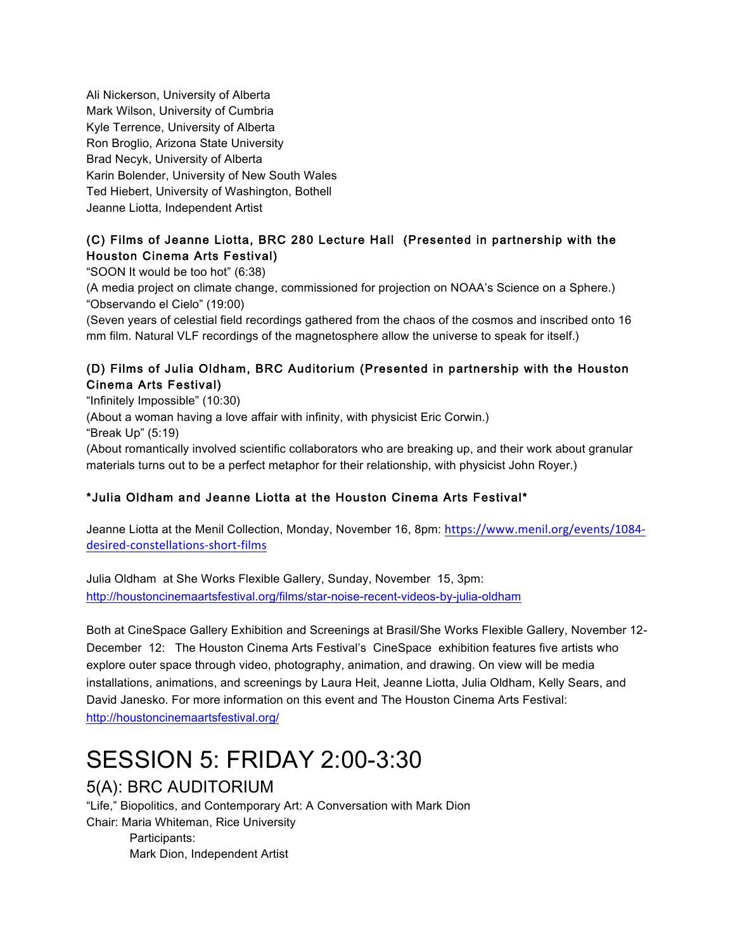Ali Nickerson, University of Alberta Mark Wilson, University of Cumbria Kyle Terrence, University of Alberta Ron Broglio, Arizona State University Brad Necyk, University of Alberta Karin Bolender, University of New South Wales Ted Hiebert, University of Washington, Bothell Jeanne Liotta, Independent Artist

#### (C) Films of Jeanne Liotta, BRC 280 Lecture Hall (Presented in partnership with the Houston Cinema Arts Festival)

"SOON It would be too hot" (6:38)

(A media project on climate change, commissioned for projection on NOAA's Science on a Sphere.) "Observando el Cielo" (19:00)

(Seven years of celestial field recordings gathered from the chaos of the cosmos and inscribed onto 16 mm film. Natural VLF recordings of the magnetosphere allow the universe to speak for itself.)

#### (D) Films of Julia Oldham, BRC Auditorium (Presented in partnership with the Houston Cinema Arts Festival)

"Infinitely Impossible" (10:30) (About a woman having a love affair with infinity, with physicist Eric Corwin.) "Break Up" (5:19) (About romantically involved scientific collaborators who are breaking up, and their work about granular materials turns out to be a perfect metaphor for their relationship, with physicist John Royer.)

#### \*Julia Oldham and Jeanne Liotta at the Houston Cinema Arts Festival\*

Jeanne Liotta at the Menil Collection, Monday, November 16, 8pm: https://www.menil.org/events/1084 desired-constellations-short-films

Julia Oldham at She Works Flexible Gallery, Sunday, November 15, 3pm: http://houstoncinemaartsfestival.org/films/star-noise-recent-videos-by-julia-oldham

Both at CineSpace Gallery Exhibition and Screenings at Brasil/She Works Flexible Gallery, November 12- December 12: The Houston Cinema Arts Festival's CineSpace exhibition features five artists who explore outer space through video, photography, animation, and drawing. On view will be media installations, animations, and screenings by Laura Heit, Jeanne Liotta, Julia Oldham, Kelly Sears, and David Janesko. For more information on this event and The Houston Cinema Arts Festival: http://houstoncinemaartsfestival.org/

# SESSION 5: FRIDAY 2:00-3:30

## 5(A): BRC AUDITORIUM

"Life," Biopolitics, and Contemporary Art: A Conversation with Mark Dion Chair: Maria Whiteman, Rice University Participants: Mark Dion, Independent Artist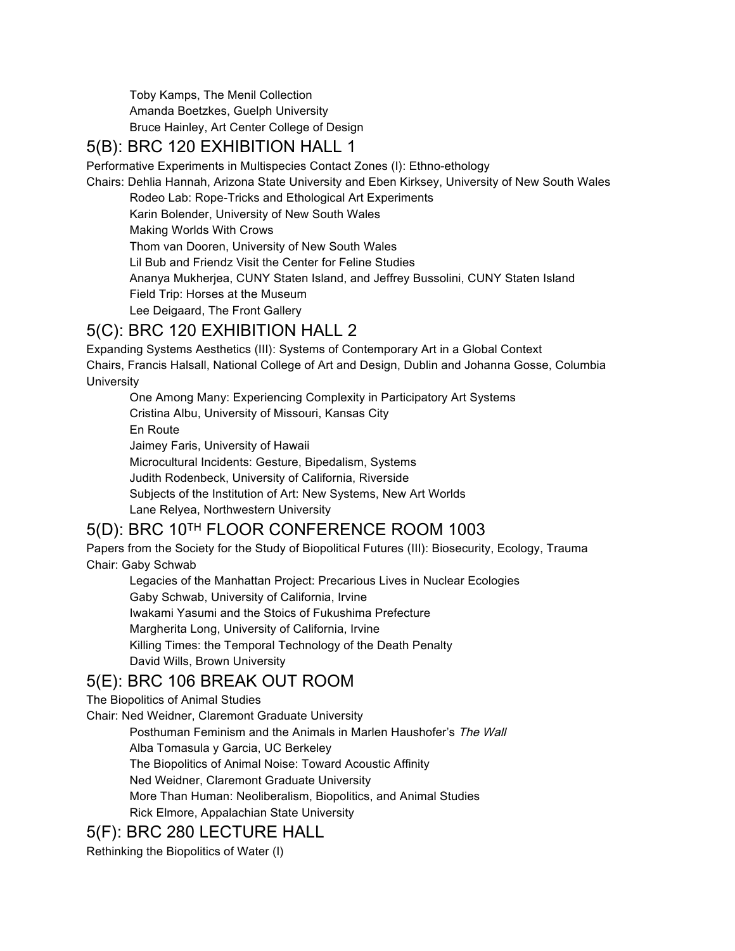Toby Kamps, The Menil Collection Amanda Boetzkes, Guelph University Bruce Hainley, Art Center College of Design

#### 5(B): BRC 120 EXHIBITION HALL 1

Performative Experiments in Multispecies Contact Zones (I): Ethno-ethology

Chairs: Dehlia Hannah, Arizona State University and Eben Kirksey, University of New South Wales

Rodeo Lab: Rope-Tricks and Ethological Art Experiments

Karin Bolender, University of New South Wales

Making Worlds With Crows

Thom van Dooren, University of New South Wales

Lil Bub and Friendz Visit the Center for Feline Studies

Ananya Mukherjea, CUNY Staten Island, and Jeffrey Bussolini, CUNY Staten Island

Field Trip: Horses at the Museum

## Lee Deigaard, The Front Gallery

#### 5(C): BRC 120 EXHIBITION HALL 2

Expanding Systems Aesthetics (III): Systems of Contemporary Art in a Global Context Chairs, Francis Halsall, National College of Art and Design, Dublin and Johanna Gosse, Columbia **University** 

One Among Many: Experiencing Complexity in Participatory Art Systems Cristina Albu, University of Missouri, Kansas City En Route Jaimey Faris, University of Hawaii Microcultural Incidents: Gesture, Bipedalism, Systems Judith Rodenbeck, University of California, Riverside Subjects of the Institution of Art: New Systems, New Art Worlds Lane Relyea, Northwestern University

## 5(D): BRC 10TH FLOOR CONFERENCE ROOM 1003

Papers from the Society for the Study of Biopolitical Futures (III): Biosecurity, Ecology, Trauma Chair: Gaby Schwab

Legacies of the Manhattan Project: Precarious Lives in Nuclear Ecologies Gaby Schwab, University of California, Irvine Iwakami Yasumi and the Stoics of Fukushima Prefecture Margherita Long, University of California, Irvine Killing Times: the Temporal Technology of the Death Penalty David Wills, Brown University

## 5(E): BRC 106 BREAK OUT ROOM

The Biopolitics of Animal Studies

Chair: Ned Weidner, Claremont Graduate University

Posthuman Feminism and the Animals in Marlen Haushofer's The Wall Alba Tomasula y Garcia, UC Berkeley The Biopolitics of Animal Noise: Toward Acoustic Affinity Ned Weidner, Claremont Graduate University More Than Human: Neoliberalism, Biopolitics, and Animal Studies

Rick Elmore, Appalachian State University

#### 5(F): BRC 280 LECTURE HALL

Rethinking the Biopolitics of Water (I)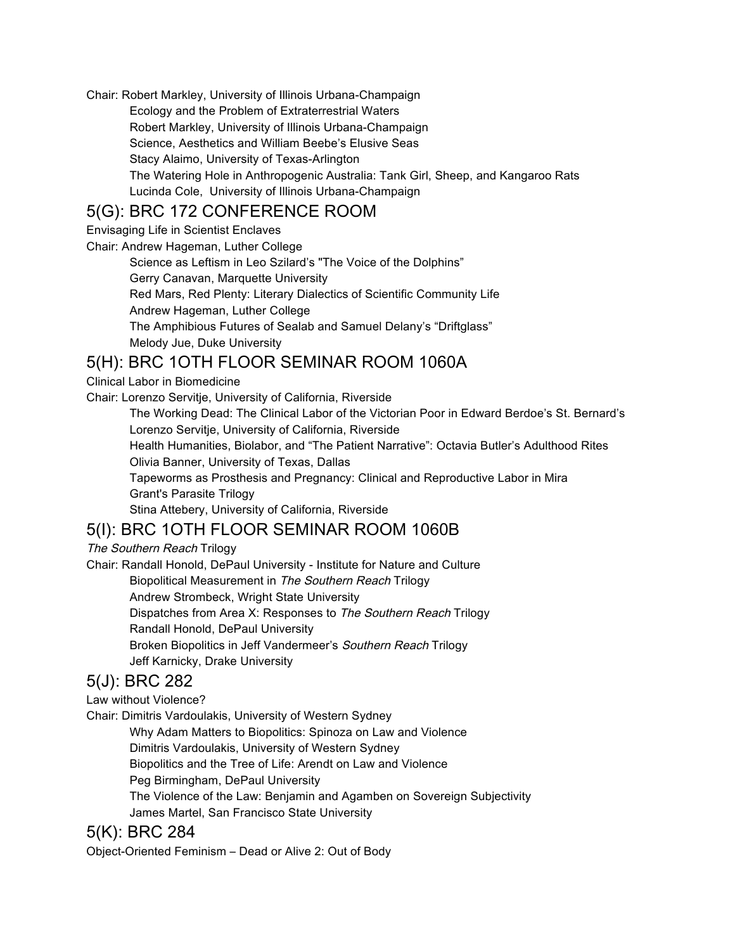Chair: Robert Markley, University of Illinois Urbana-Champaign Ecology and the Problem of Extraterrestrial Waters Robert Markley, University of Illinois Urbana-Champaign Science, Aesthetics and William Beebe's Elusive Seas Stacy Alaimo, University of Texas-Arlington The Watering Hole in Anthropogenic Australia: Tank Girl, Sheep, and Kangaroo Rats Lucinda Cole, University of Illinois Urbana-Champaign

#### 5(G): BRC 172 CONFERENCE ROOM

Envisaging Life in Scientist Enclaves

Chair: Andrew Hageman, Luther College

Science as Leftism in Leo Szilard's "The Voice of the Dolphins" Gerry Canavan, Marquette University Red Mars, Red Plenty: Literary Dialectics of Scientific Community Life Andrew Hageman, Luther College The Amphibious Futures of Sealab and Samuel Delany's "Driftglass" Melody Jue, Duke University

## 5(H): BRC 1OTH FLOOR SEMINAR ROOM 1060A

Clinical Labor in Biomedicine

Chair: Lorenzo Servitje, University of California, Riverside

The Working Dead: The Clinical Labor of the Victorian Poor in Edward Berdoe's St. Bernard's Lorenzo Servitje, University of California, Riverside

Health Humanities, Biolabor, and "The Patient Narrative": Octavia Butler's Adulthood Rites Olivia Banner, University of Texas, Dallas

Tapeworms as Prosthesis and Pregnancy: Clinical and Reproductive Labor in Mira Grant's Parasite Trilogy

Stina Attebery, University of California, Riverside

## 5(I): BRC 1OTH FLOOR SEMINAR ROOM 1060B

The Southern Reach Trilogy

Chair: Randall Honold, DePaul University - Institute for Nature and Culture Biopolitical Measurement in The Southern Reach Trilogy Andrew Strombeck, Wright State University Dispatches from Area X: Responses to The Southern Reach Trilogy Randall Honold, DePaul University Broken Biopolitics in Jeff Vandermeer's Southern Reach Trilogy Jeff Karnicky, Drake University

## 5(J): BRC 282

Law without Violence?

Chair: Dimitris Vardoulakis, University of Western Sydney

Why Adam Matters to Biopolitics: Spinoza on Law and Violence

Dimitris Vardoulakis, University of Western Sydney

Biopolitics and the Tree of Life: Arendt on Law and Violence

Peg Birmingham, DePaul University

The Violence of the Law: Benjamin and Agamben on Sovereign Subjectivity James Martel, San Francisco State University

## 5(K): BRC 284

Object-Oriented Feminism – Dead or Alive 2: Out of Body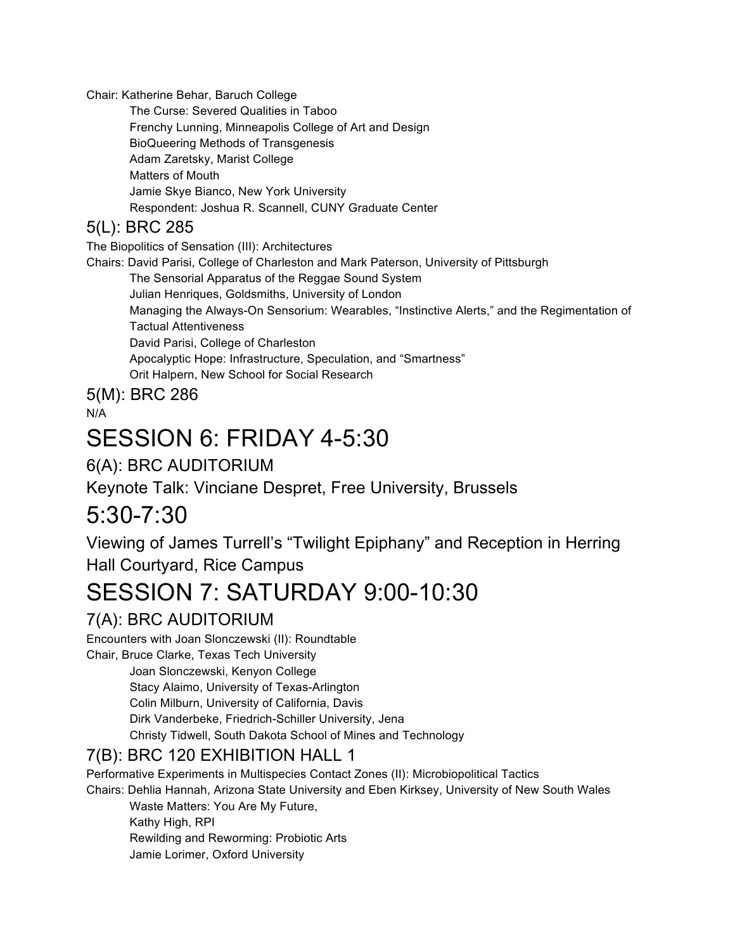Chair: Katherine Behar, Baruch College

The Curse: Severed Qualities in Taboo Frenchy Lunning, Minneapolis College of Art and Design BioQueering Methods of Transgenesis Adam Zaretsky, Marist College Matters of Mouth Jamie Skye Bianco, New York University Respondent: Joshua R. Scannell, CUNY Graduate Center

## 5(L): BRC 285

The Biopolitics of Sensation (III): Architectures

Chairs: David Parisi, College of Charleston and Mark Paterson, University of Pittsburgh

The Sensorial Apparatus of the Reggae Sound System

Julian Henriques, Goldsmiths, University of London

Managing the Always-On Sensorium: Wearables, "Instinctive Alerts," and the Regimentation of Tactual Attentiveness

David Parisi, College of Charleston

Apocalyptic Hope: Infrastructure, Speculation, and "Smartness"

Orit Halpern, New School for Social Research

5(M): BRC 286

N/A

# SESSION 6: FRIDAY 4-5:30

## 6(A): BRC AUDITORIUM

Keynote Talk: Vinciane Despret, Free University, Brussels

## 5:30-7:30

Viewing of James Turrell's "Twilight Epiphany" and Reception in Herring Hall Courtyard, Rice Campus

# SESSION 7: SATURDAY 9:00-10:30

## 7(A): BRC AUDITORIUM

Encounters with Joan Slonczewski (II): Roundtable

Chair, Bruce Clarke, Texas Tech University Joan Slonczewski, Kenyon College Stacy Alaimo, University of Texas-Arlington Colin Milburn, University of California, Davis Dirk Vanderbeke, Friedrich-Schiller University, Jena Christy Tidwell, South Dakota School of Mines and Technology

## 7(B): BRC 120 EXHIBITION HALL 1

Performative Experiments in Multispecies Contact Zones (II): Microbiopolitical Tactics Chairs: Dehlia Hannah, Arizona State University and Eben Kirksey, University of New South Wales

Waste Matters: You Are My Future, Kathy High, RPI Rewilding and Reworming: Probiotic Arts Jamie Lorimer, Oxford University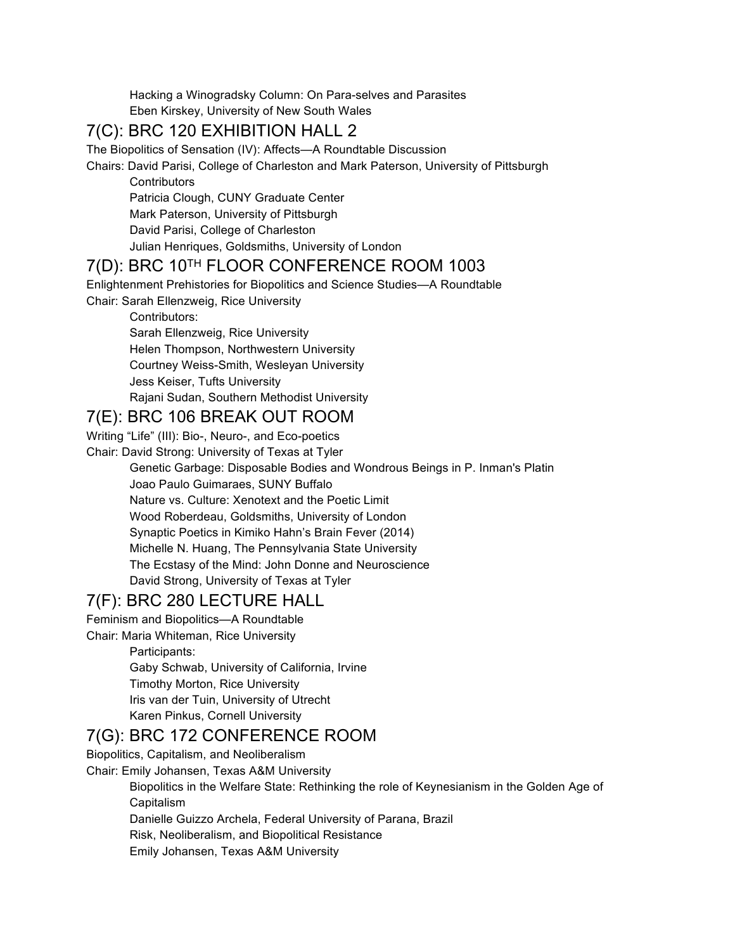Hacking a Winogradsky Column: On Para-selves and Parasites Eben Kirskey, University of New South Wales

#### 7(C): BRC 120 EXHIBITION HALL 2

The Biopolitics of Sensation (IV): Affects—A Roundtable Discussion

Chairs: David Parisi, College of Charleston and Mark Paterson, University of Pittsburgh

**Contributors** Patricia Clough, CUNY Graduate Center Mark Paterson, University of Pittsburgh David Parisi, College of Charleston Julian Henriques, Goldsmiths, University of London

#### 7(D): BRC 10TH FLOOR CONFERENCE ROOM 1003

Enlightenment Prehistories for Biopolitics and Science Studies—A Roundtable

Chair: Sarah Ellenzweig, Rice University

Contributors:

Sarah Ellenzweig, Rice University

Helen Thompson, Northwestern University

Courtney Weiss-Smith, Wesleyan University

Jess Keiser, Tufts University

Rajani Sudan, Southern Methodist University

#### 7(E): BRC 106 BREAK OUT ROOM

Writing "Life" (III): Bio-, Neuro-, and Eco-poetics

Chair: David Strong: University of Texas at Tyler

Genetic Garbage: Disposable Bodies and Wondrous Beings in P. Inman's Platin Joao Paulo Guimaraes, SUNY Buffalo Nature vs. Culture: Xenotext and the Poetic Limit Wood Roberdeau, Goldsmiths, University of London Synaptic Poetics in Kimiko Hahn's Brain Fever (2014) Michelle N. Huang, The Pennsylvania State University The Ecstasy of the Mind: John Donne and Neuroscience David Strong, University of Texas at Tyler

## 7(F): BRC 280 LECTURE HALL

Feminism and Biopolitics—A Roundtable

Chair: Maria Whiteman, Rice University

Participants:

Gaby Schwab, University of California, Irvine

Timothy Morton, Rice University

Iris van der Tuin, University of Utrecht

Karen Pinkus, Cornell University

#### 7(G): BRC 172 CONFERENCE ROOM

Biopolitics, Capitalism, and Neoliberalism Chair: Emily Johansen, Texas A&M University

Biopolitics in the Welfare State: Rethinking the role of Keynesianism in the Golden Age of Capitalism

Danielle Guizzo Archela, Federal University of Parana, Brazil

Risk, Neoliberalism, and Biopolitical Resistance

Emily Johansen, Texas A&M University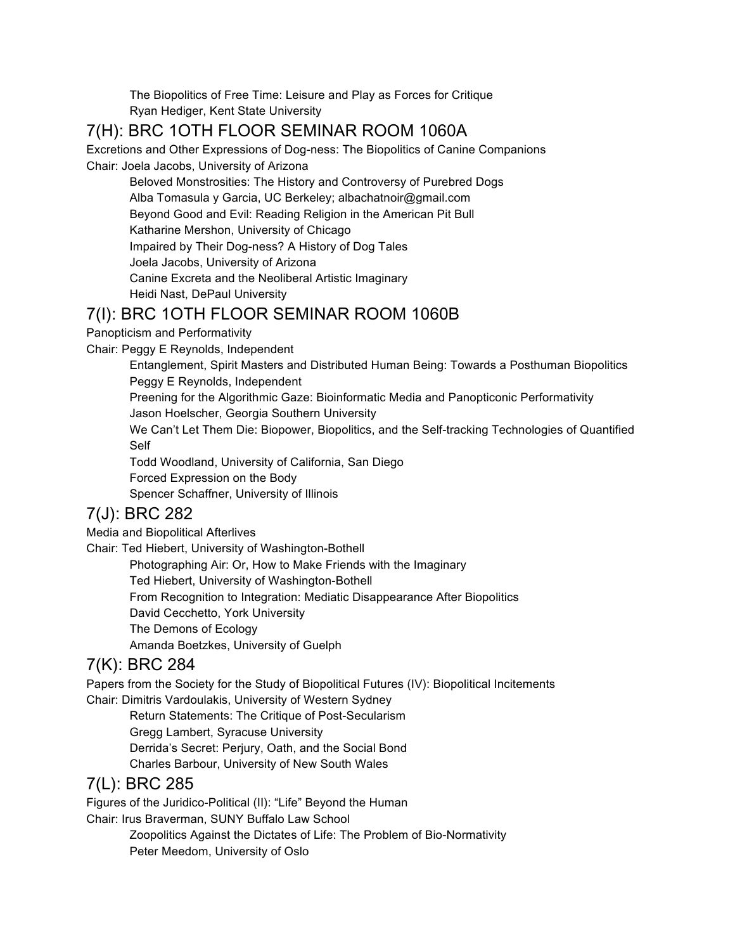The Biopolitics of Free Time: Leisure and Play as Forces for Critique Ryan Hediger, Kent State University

## 7(H): BRC 1OTH FLOOR SEMINAR ROOM 1060A

Excretions and Other Expressions of Dog-ness: The Biopolitics of Canine Companions Chair: Joela Jacobs, University of Arizona

Beloved Monstrosities: The History and Controversy of Purebred Dogs Alba Tomasula y Garcia, UC Berkeley; albachatnoir@gmail.com Beyond Good and Evil: Reading Religion in the American Pit Bull Katharine Mershon, University of Chicago Impaired by Their Dog-ness? A History of Dog Tales Joela Jacobs, University of Arizona Canine Excreta and the Neoliberal Artistic Imaginary Heidi Nast, DePaul University

#### 7(I): BRC 1OTH FLOOR SEMINAR ROOM 1060B

Panopticism and Performativity

Chair: Peggy E Reynolds, Independent

Entanglement, Spirit Masters and Distributed Human Being: Towards a Posthuman Biopolitics Peggy E Reynolds, Independent

Preening for the Algorithmic Gaze: Bioinformatic Media and Panopticonic Performativity Jason Hoelscher, Georgia Southern University

We Can't Let Them Die: Biopower, Biopolitics, and the Self-tracking Technologies of Quantified Self

Todd Woodland, University of California, San Diego

Forced Expression on the Body

Spencer Schaffner, University of Illinois

## 7(J): BRC 282

Media and Biopolitical Afterlives

Chair: Ted Hiebert, University of Washington-Bothell

Photographing Air: Or, How to Make Friends with the Imaginary

Ted Hiebert, University of Washington-Bothell

From Recognition to Integration: Mediatic Disappearance After Biopolitics

David Cecchetto, York University

The Demons of Ecology

Amanda Boetzkes, University of Guelph

## 7(K): BRC 284

Papers from the Society for the Study of Biopolitical Futures (IV): Biopolitical Incitements Chair: Dimitris Vardoulakis, University of Western Sydney

Return Statements: The Critique of Post-Secularism Gregg Lambert, Syracuse University Derrida's Secret: Perjury, Oath, and the Social Bond Charles Barbour, University of New South Wales

## 7(L): BRC 285

Figures of the Juridico-Political (II): "Life" Beyond the Human Chair: Irus Braverman, SUNY Buffalo Law School

Zoopolitics Against the Dictates of Life: The Problem of Bio-Normativity Peter Meedom, University of Oslo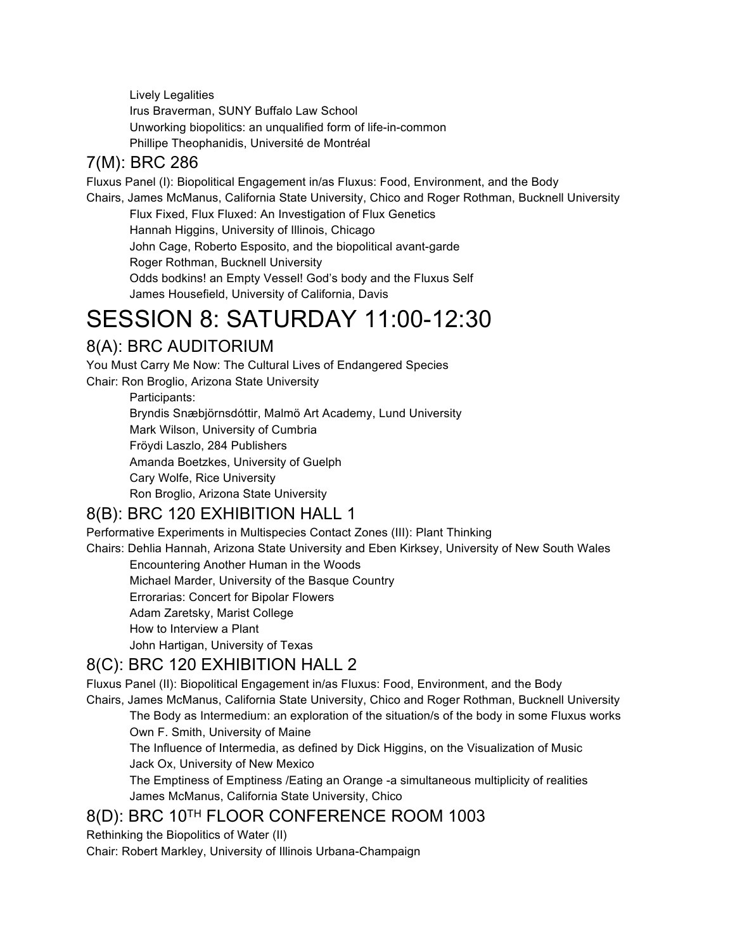Lively Legalities Irus Braverman, SUNY Buffalo Law School Unworking biopolitics: an unqualified form of life-in-common Phillipe Theophanidis, Université de Montréal

## 7(M): BRC 286

Fluxus Panel (I): Biopolitical Engagement in/as Fluxus: Food, Environment, and the Body Chairs, James McManus, California State University, Chico and Roger Rothman, Bucknell University Flux Fixed, Flux Fluxed: An Investigation of Flux Genetics Hannah Higgins, University of Illinois, Chicago John Cage, Roberto Esposito, and the biopolitical avant-garde Roger Rothman, Bucknell University Odds bodkins! an Empty Vessel! God's body and the Fluxus Self James Housefield, University of California, Davis

# SESSION 8: SATURDAY 11:00-12:30

## 8(A): BRC AUDITORIUM

You Must Carry Me Now: The Cultural Lives of Endangered Species Chair: Ron Broglio, Arizona State University Participants: Bryndis Snæbjörnsdóttir, Malmö Art Academy, Lund University Mark Wilson, University of Cumbria Fröydi Laszlo, 284 Publishers

Amanda Boetzkes, University of Guelph

Cary Wolfe, Rice University

Ron Broglio, Arizona State University

## 8(B): BRC 120 EXHIBITION HALL 1

Performative Experiments in Multispecies Contact Zones (III): Plant Thinking

Chairs: Dehlia Hannah, Arizona State University and Eben Kirksey, University of New South Wales Encountering Another Human in the Woods

Michael Marder, University of the Basque Country

Errorarias: Concert for Bipolar Flowers

Adam Zaretsky, Marist College

How to Interview a Plant

John Hartigan, University of Texas

## 8(C): BRC 120 EXHIBITION HALL 2

Fluxus Panel (II): Biopolitical Engagement in/as Fluxus: Food, Environment, and the Body

Chairs, James McManus, California State University, Chico and Roger Rothman, Bucknell University The Body as Intermedium: an exploration of the situation/s of the body in some Fluxus works Own F. Smith, University of Maine

The Influence of Intermedia, as defined by Dick Higgins, on the Visualization of Music Jack Ox, University of New Mexico

The Emptiness of Emptiness /Eating an Orange -a simultaneous multiplicity of realities James McManus, California State University, Chico

## 8(D): BRC 10TH FLOOR CONFERENCE ROOM 1003

Rethinking the Biopolitics of Water (II)

Chair: Robert Markley, University of Illinois Urbana-Champaign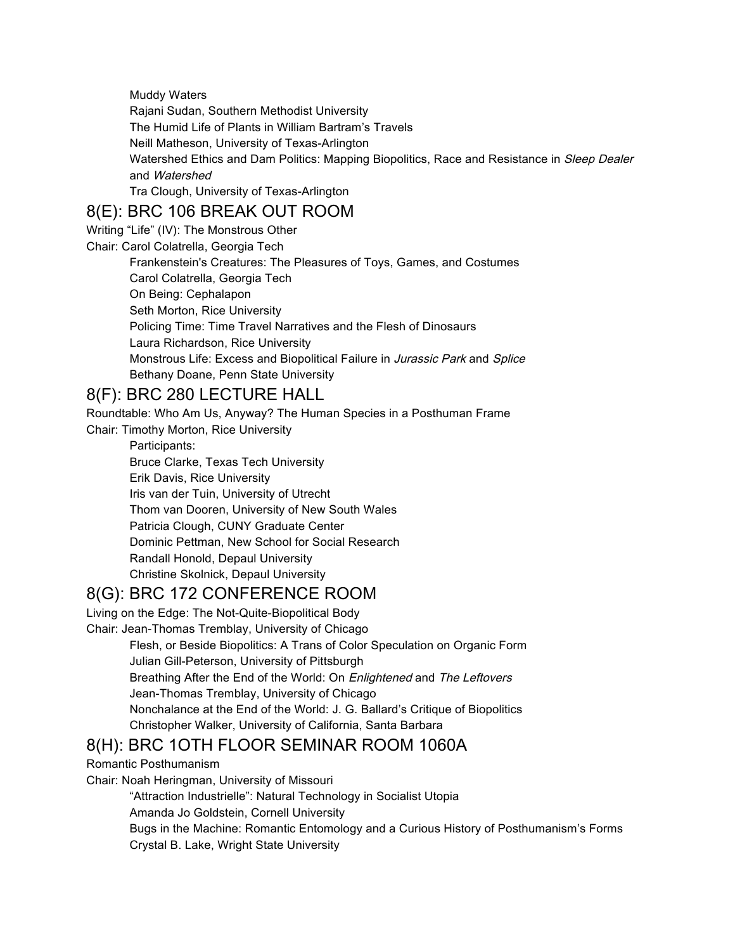Muddy Waters

Rajani Sudan, Southern Methodist University The Humid Life of Plants in William Bartram's Travels Neill Matheson, University of Texas-Arlington Watershed Ethics and Dam Politics: Mapping Biopolitics, Race and Resistance in Sleep Dealer and Watershed Tra Clough, University of Texas-Arlington

## 8(E): BRC 106 BREAK OUT ROOM

Writing "Life" (IV): The Monstrous Other

Chair: Carol Colatrella, Georgia Tech

Frankenstein's Creatures: The Pleasures of Toys, Games, and Costumes Carol Colatrella, Georgia Tech On Being: Cephalapon Seth Morton, Rice University Policing Time: Time Travel Narratives and the Flesh of Dinosaurs Laura Richardson, Rice University Monstrous Life: Excess and Biopolitical Failure in Jurassic Park and Splice Bethany Doane, Penn State University

## 8(F): BRC 280 LECTURE HALL

Roundtable: Who Am Us, Anyway? The Human Species in a Posthuman Frame

Chair: Timothy Morton, Rice University

Participants: Bruce Clarke, Texas Tech University Erik Davis, Rice University Iris van der Tuin, University of Utrecht Thom van Dooren, University of New South Wales Patricia Clough, CUNY Graduate Center Dominic Pettman, New School for Social Research Randall Honold, Depaul University Christine Skolnick, Depaul University

## 8(G): BRC 172 CONFERENCE ROOM

Living on the Edge: The Not-Quite-Biopolitical Body

Chair: Jean-Thomas Tremblay, University of Chicago

Flesh, or Beside Biopolitics: A Trans of Color Speculation on Organic Form Julian Gill-Peterson, University of Pittsburgh Breathing After the End of the World: On Enlightened and The Leftovers Jean-Thomas Tremblay, University of Chicago Nonchalance at the End of the World: J. G. Ballard's Critique of Biopolitics Christopher Walker, University of California, Santa Barbara

## 8(H): BRC 1OTH FLOOR SEMINAR ROOM 1060A

Romantic Posthumanism

Chair: Noah Heringman, University of Missouri

"Attraction Industrielle": Natural Technology in Socialist Utopia

Amanda Jo Goldstein, Cornell University

Bugs in the Machine: Romantic Entomology and a Curious History of Posthumanism's Forms Crystal B. Lake, Wright State University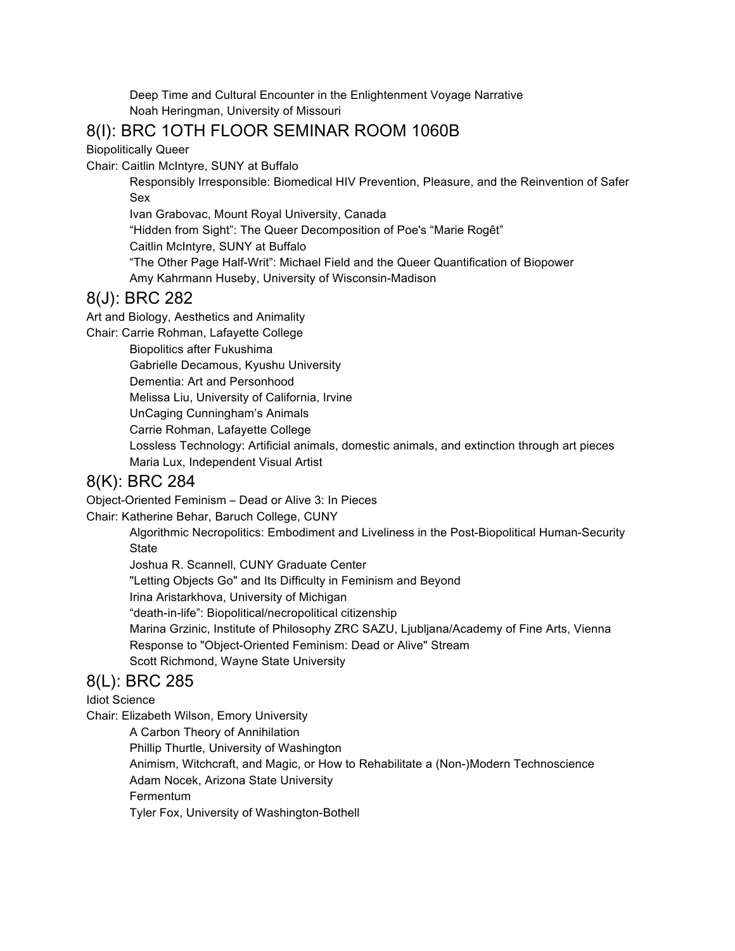Deep Time and Cultural Encounter in the Enlightenment Voyage Narrative Noah Heringman, University of Missouri

## 8(I): BRC 1OTH FLOOR SEMINAR ROOM 1060B

Biopolitically Queer

Chair: Caitlin McIntyre, SUNY at Buffalo

Responsibly Irresponsible: Biomedical HIV Prevention, Pleasure, and the Reinvention of Safer Sex

Ivan Grabovac, Mount Royal University, Canada

"Hidden from Sight": The Queer Decomposition of Poe's "Marie Rogêt"

Caitlin McIntyre, SUNY at Buffalo

"The Other Page Half-Writ": Michael Field and the Queer Quantification of Biopower

Amy Kahrmann Huseby, University of Wisconsin-Madison

#### 8(J): BRC 282

Art and Biology, Aesthetics and Animality

Chair: Carrie Rohman, Lafayette College

Biopolitics after Fukushima

Gabrielle Decamous, Kyushu University

Dementia: Art and Personhood

Melissa Liu, University of California, Irvine

UnCaging Cunningham's Animals

Carrie Rohman, Lafayette College

Lossless Technology: Artificial animals, domestic animals, and extinction through art pieces Maria Lux, Independent Visual Artist

### 8(K): BRC 284

Object-Oriented Feminism – Dead or Alive 3: In Pieces

Chair: Katherine Behar, Baruch College, CUNY

Algorithmic Necropolitics: Embodiment and Liveliness in the Post-Biopolitical Human-Security **State** 

Joshua R. Scannell, CUNY Graduate Center

"Letting Objects Go" and Its Difficulty in Feminism and Beyond

Irina Aristarkhova, University of Michigan

"death-in-life": Biopolitical/necropolitical citizenship

Marina Grzinic, Institute of Philosophy ZRC SAZU, Ljubljana/Academy of Fine Arts, Vienna Response to "Object-Oriented Feminism: Dead or Alive" Stream

Scott Richmond, Wayne State University

## 8(L): BRC 285

Idiot Science

Chair: Elizabeth Wilson, Emory University A Carbon Theory of Annihilation Phillip Thurtle, University of Washington Animism, Witchcraft, and Magic, or How to Rehabilitate a (Non-)Modern Technoscience

Adam Nocek, Arizona State University

Fermentum

Tyler Fox, University of Washington-Bothell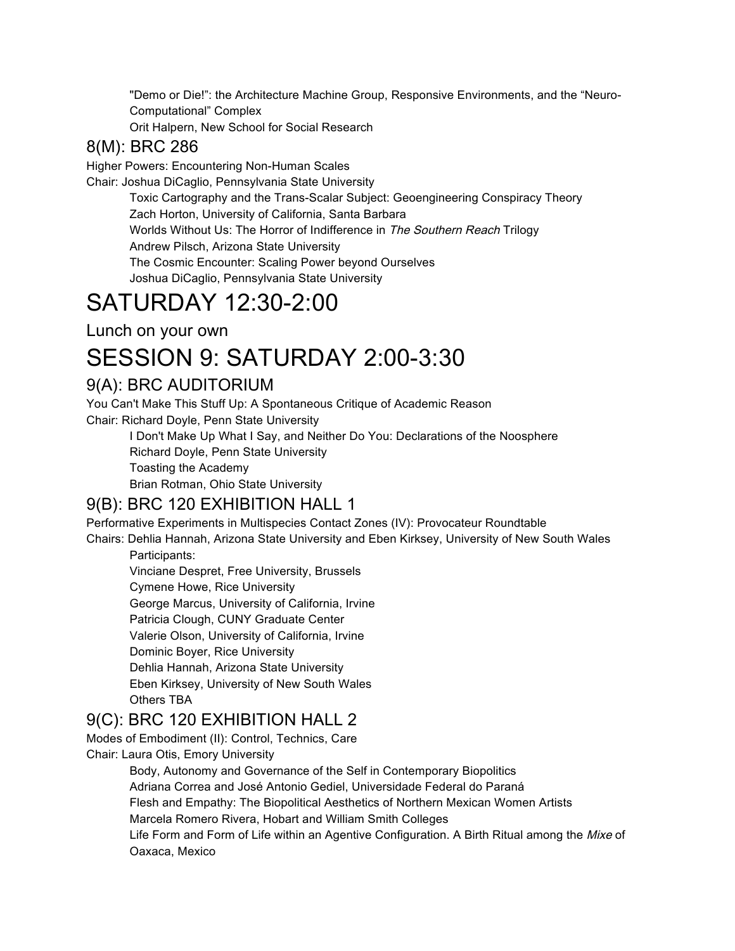"Demo or Die!": the Architecture Machine Group, Responsive Environments, and the "Neuro-Computational" Complex

Orit Halpern, New School for Social Research

### 8(M): BRC 286

Higher Powers: Encountering Non-Human Scales

Chair: Joshua DiCaglio, Pennsylvania State University

Toxic Cartography and the Trans-Scalar Subject: Geoengineering Conspiracy Theory Zach Horton, University of California, Santa Barbara Worlds Without Us: The Horror of Indifference in The Southern Reach Trilogy Andrew Pilsch, Arizona State University The Cosmic Encounter: Scaling Power beyond Ourselves

Joshua DiCaglio, Pennsylvania State University

# SATURDAY 12:30-2:00

Lunch on your own

# SESSION 9: SATURDAY 2:00-3:30

## 9(A): BRC AUDITORIUM

You Can't Make This Stuff Up: A Spontaneous Critique of Academic Reason Chair: Richard Doyle, Penn State University

I Don't Make Up What I Say, and Neither Do You: Declarations of the Noosphere Richard Doyle, Penn State University

Toasting the Academy

Brian Rotman, Ohio State University

## 9(B): BRC 120 EXHIBITION HALL 1

Performative Experiments in Multispecies Contact Zones (IV): Provocateur Roundtable

Chairs: Dehlia Hannah, Arizona State University and Eben Kirksey, University of New South Wales Participants:

Vinciane Despret, Free University, Brussels Cymene Howe, Rice University George Marcus, University of California, Irvine Patricia Clough, CUNY Graduate Center Valerie Olson, University of California, Irvine Dominic Boyer, Rice University Dehlia Hannah, Arizona State University Eben Kirksey, University of New South Wales Others TBA

## 9(C): BRC 120 EXHIBITION HALL 2

Modes of Embodiment (II): Control, Technics, Care Chair: Laura Otis, Emory University

Body, Autonomy and Governance of the Self in Contemporary Biopolitics Adriana Correa and José Antonio Gediel, Universidade Federal do Paraná Flesh and Empathy: The Biopolitical Aesthetics of Northern Mexican Women Artists Marcela Romero Rivera, Hobart and William Smith Colleges Life Form and Form of Life within an Agentive Configuration. A Birth Ritual among the Mixe of Oaxaca, Mexico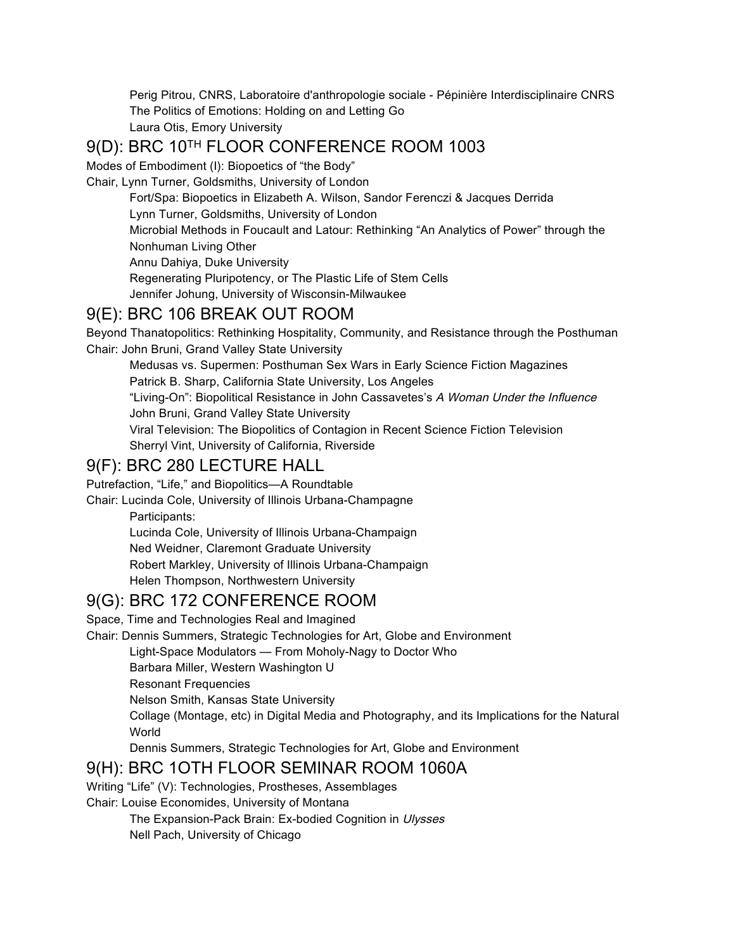Perig Pitrou, CNRS, Laboratoire d'anthropologie sociale - Pépinière Interdisciplinaire CNRS The Politics of Emotions: Holding on and Letting Go Laura Otis, Emory University

## 9(D): BRC 10TH FLOOR CONFERENCE ROOM 1003

Modes of Embodiment (I): Biopoetics of "the Body"

Chair, Lynn Turner, Goldsmiths, University of London

Fort/Spa: Biopoetics in Elizabeth A. Wilson, Sandor Ferenczi & Jacques Derrida Lynn Turner, Goldsmiths, University of London Microbial Methods in Foucault and Latour: Rethinking "An Analytics of Power" through the Nonhuman Living Other Annu Dahiya, Duke University Regenerating Pluripotency, or The Plastic Life of Stem Cells Jennifer Johung, University of Wisconsin-Milwaukee

#### 9(E): BRC 106 BREAK OUT ROOM

Beyond Thanatopolitics: Rethinking Hospitality, Community, and Resistance through the Posthuman Chair: John Bruni, Grand Valley State University

Medusas vs. Supermen: Posthuman Sex Wars in Early Science Fiction Magazines Patrick B. Sharp, California State University, Los Angeles

"Living-On": Biopolitical Resistance in John Cassavetes's A Woman Under the Influence John Bruni, Grand Valley State University

Viral Television: The Biopolitics of Contagion in Recent Science Fiction Television Sherryl Vint, University of California, Riverside

#### 9(F): BRC 280 LECTURE HALL

Putrefaction, "Life," and Biopolitics—A Roundtable

Chair: Lucinda Cole, University of Illinois Urbana-Champagne

Participants:

Lucinda Cole, University of Illinois Urbana-Champaign Ned Weidner, Claremont Graduate University Robert Markley, University of Illinois Urbana-Champaign Helen Thompson, Northwestern University

## 9(G): BRC 172 CONFERENCE ROOM

Space, Time and Technologies Real and Imagined

Chair: Dennis Summers, Strategic Technologies for Art, Globe and Environment

Light-Space Modulators — From Moholy-Nagy to Doctor Who

Barbara Miller, Western Washington U

Resonant Frequencies

Nelson Smith, Kansas State University

Collage (Montage, etc) in Digital Media and Photography, and its Implications for the Natural World

Dennis Summers, Strategic Technologies for Art, Globe and Environment

#### 9(H): BRC 1OTH FLOOR SEMINAR ROOM 1060A

Writing "Life" (V): Technologies, Prostheses, Assemblages

Chair: Louise Economides, University of Montana

The Expansion-Pack Brain: Ex-bodied Cognition in Ulysses

Nell Pach, University of Chicago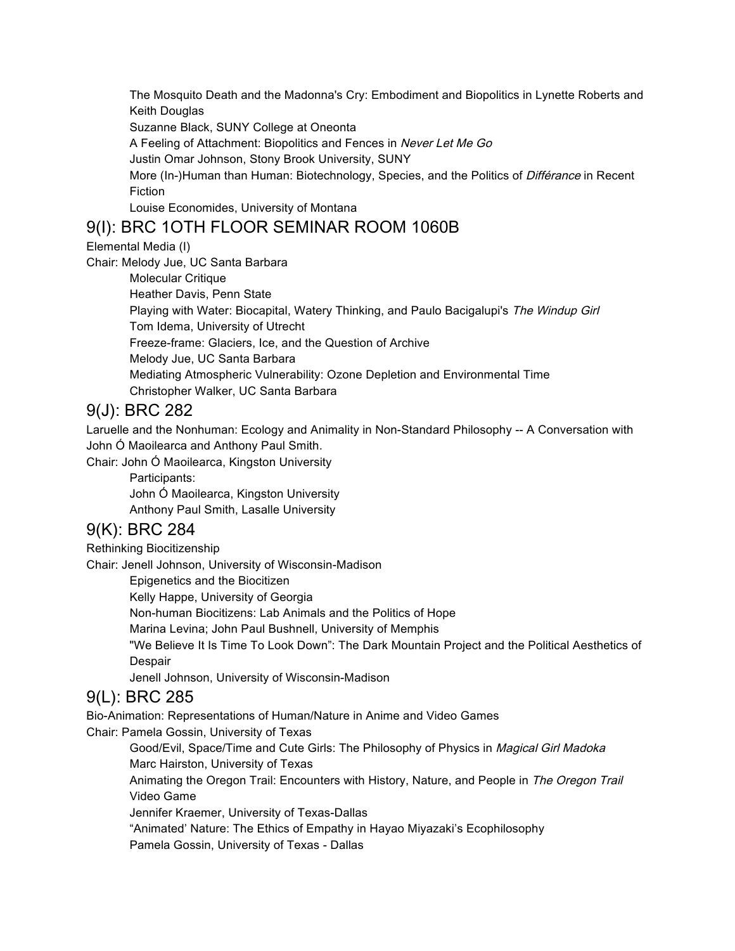The Mosquito Death and the Madonna's Cry: Embodiment and Biopolitics in Lynette Roberts and Keith Douglas

Suzanne Black, SUNY College at Oneonta

A Feeling of Attachment: Biopolitics and Fences in Never Let Me Go

Justin Omar Johnson, Stony Brook University, SUNY

More (In-)Human than Human: Biotechnology, Species, and the Politics of Différance in Recent Fiction

Louise Economides, University of Montana

#### 9(I): BRC 1OTH FLOOR SEMINAR ROOM 1060B

Elemental Media (I)

Chair: Melody Jue, UC Santa Barbara

Molecular Critique Heather Davis, Penn State Playing with Water: Biocapital, Watery Thinking, and Paulo Bacigalupi's The Windup Girl Tom Idema, University of Utrecht Freeze-frame: Glaciers, Ice, and the Question of Archive Melody Jue, UC Santa Barbara Mediating Atmospheric Vulnerability: Ozone Depletion and Environmental Time Christopher Walker, UC Santa Barbara

#### 9(J): BRC 282

Laruelle and the Nonhuman: Ecology and Animality in Non-Standard Philosophy -- A Conversation with John Ó Maoilearca and Anthony Paul Smith.

Chair: John Ó Maoilearca, Kingston University

Participants:

John Ó Maoilearca, Kingston University Anthony Paul Smith, Lasalle University

#### 9(K): BRC 284

Rethinking Biocitizenship

Chair: Jenell Johnson, University of Wisconsin-Madison

Epigenetics and the Biocitizen

Kelly Happe, University of Georgia

Non-human Biocitizens: Lab Animals and the Politics of Hope

Marina Levina; John Paul Bushnell, University of Memphis

"We Believe It Is Time To Look Down": The Dark Mountain Project and the Political Aesthetics of Despair

Jenell Johnson, University of Wisconsin-Madison

#### 9(L): BRC 285

Bio-Animation: Representations of Human/Nature in Anime and Video Games Chair: Pamela Gossin, University of Texas

Good/Evil, Space/Time and Cute Girls: The Philosophy of Physics in Magical Girl Madoka Marc Hairston, University of Texas

Animating the Oregon Trail: Encounters with History, Nature, and People in The Oregon Trail Video Game

Jennifer Kraemer, University of Texas-Dallas

"Animated' Nature: The Ethics of Empathy in Hayao Miyazaki's Ecophilosophy

Pamela Gossin, University of Texas - Dallas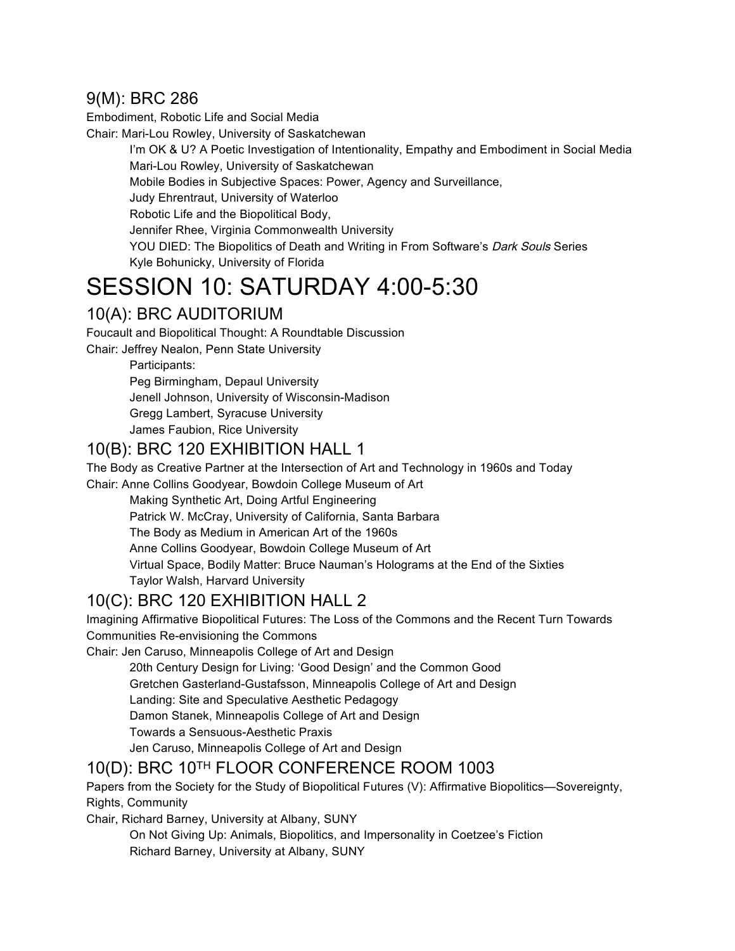## 9(M): BRC 286

Embodiment, Robotic Life and Social Media

Chair: Mari-Lou Rowley, University of Saskatchewan

I'm OK & U? A Poetic Investigation of Intentionality, Empathy and Embodiment in Social Media Mari-Lou Rowley, University of Saskatchewan Mobile Bodies in Subjective Spaces: Power, Agency and Surveillance, Judy Ehrentraut, University of Waterloo Robotic Life and the Biopolitical Body, Jennifer Rhee, Virginia Commonwealth University YOU DIED: The Biopolitics of Death and Writing in From Software's Dark Souls Series Kyle Bohunicky, University of Florida

# SESSION 10: SATURDAY 4:00-5:30

## 10(A): BRC AUDITORIUM

Foucault and Biopolitical Thought: A Roundtable Discussion

Chair: Jeffrey Nealon, Penn State University

Participants:

Peg Birmingham, Depaul University Jenell Johnson, University of Wisconsin-Madison Gregg Lambert, Syracuse University James Faubion, Rice University

## 10(B): BRC 120 EXHIBITION HALL 1

The Body as Creative Partner at the Intersection of Art and Technology in 1960s and Today

Chair: Anne Collins Goodyear, Bowdoin College Museum of Art

Making Synthetic Art, Doing Artful Engineering

Patrick W. McCray, University of California, Santa Barbara

The Body as Medium in American Art of the 1960s

Anne Collins Goodyear, Bowdoin College Museum of Art

Virtual Space, Bodily Matter: Bruce Nauman's Holograms at the End of the Sixties

Taylor Walsh, Harvard University

## 10(C): BRC 120 EXHIBITION HALL 2

Imagining Affirmative Biopolitical Futures: The Loss of the Commons and the Recent Turn Towards Communities Re-envisioning the Commons

Chair: Jen Caruso, Minneapolis College of Art and Design

20th Century Design for Living: 'Good Design' and the Common Good

Gretchen Gasterland-Gustafsson, Minneapolis College of Art and Design

Landing: Site and Speculative Aesthetic Pedagogy

Damon Stanek, Minneapolis College of Art and Design

Towards a Sensuous-Aesthetic Praxis

Jen Caruso, Minneapolis College of Art and Design

## 10(D): BRC 10TH FLOOR CONFERENCE ROOM 1003

Papers from the Society for the Study of Biopolitical Futures (V): Affirmative Biopolitics—Sovereignty, Rights, Community

Chair, Richard Barney, University at Albany, SUNY

On Not Giving Up: Animals, Biopolitics, and Impersonality in Coetzee's Fiction Richard Barney, University at Albany, SUNY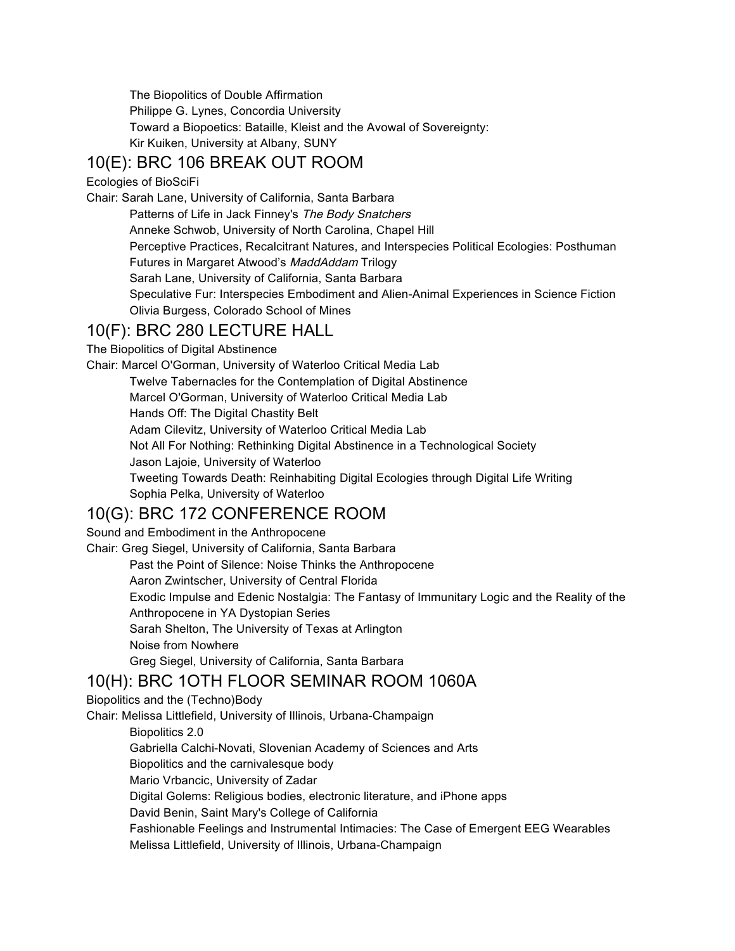The Biopolitics of Double Affirmation Philippe G. Lynes, Concordia University Toward a Biopoetics: Bataille, Kleist and the Avowal of Sovereignty: Kir Kuiken, University at Albany, SUNY

## 10(E): BRC 106 BREAK OUT ROOM

Ecologies of BioSciFi

Chair: Sarah Lane, University of California, Santa Barbara

Patterns of Life in Jack Finney's The Body Snatchers Anneke Schwob, University of North Carolina, Chapel Hill Perceptive Practices, Recalcitrant Natures, and Interspecies Political Ecologies: Posthuman Futures in Margaret Atwood's MaddAddam Trilogy Sarah Lane, University of California, Santa Barbara Speculative Fur: Interspecies Embodiment and Alien-Animal Experiences in Science Fiction Olivia Burgess, Colorado School of Mines

## 10(F): BRC 280 LECTURE HALL

The Biopolitics of Digital Abstinence

Chair: Marcel O'Gorman, University of Waterloo Critical Media Lab Twelve Tabernacles for the Contemplation of Digital Abstinence Marcel O'Gorman, University of Waterloo Critical Media Lab Hands Off: The Digital Chastity Belt Adam Cilevitz, University of Waterloo Critical Media Lab Not All For Nothing: Rethinking Digital Abstinence in a Technological Society Jason Lajoie, University of Waterloo Tweeting Towards Death: Reinhabiting Digital Ecologies through Digital Life Writing Sophia Pelka, University of Waterloo

## 10(G): BRC 172 CONFERENCE ROOM

Sound and Embodiment in the Anthropocene Chair: Greg Siegel, University of California, Santa Barbara Past the Point of Silence: Noise Thinks the Anthropocene Aaron Zwintscher, University of Central Florida Exodic Impulse and Edenic Nostalgia: The Fantasy of Immunitary Logic and the Reality of the Anthropocene in YA Dystopian Series Sarah Shelton, The University of Texas at Arlington Noise from Nowhere Greg Siegel, University of California, Santa Barbara 10(H): BRC 1OTH FLOOR SEMINAR ROOM 1060A

#### Biopolitics and the (Techno)Body

Chair: Melissa Littlefield, University of Illinois, Urbana-Champaign

Biopolitics 2.0 Gabriella Calchi-Novati, Slovenian Academy of Sciences and Arts Biopolitics and the carnivalesque body Mario Vrbancic, University of Zadar Digital Golems: Religious bodies, electronic literature, and iPhone apps David Benin, Saint Mary's College of California Fashionable Feelings and Instrumental Intimacies: The Case of Emergent EEG Wearables Melissa Littlefield, University of Illinois, Urbana-Champaign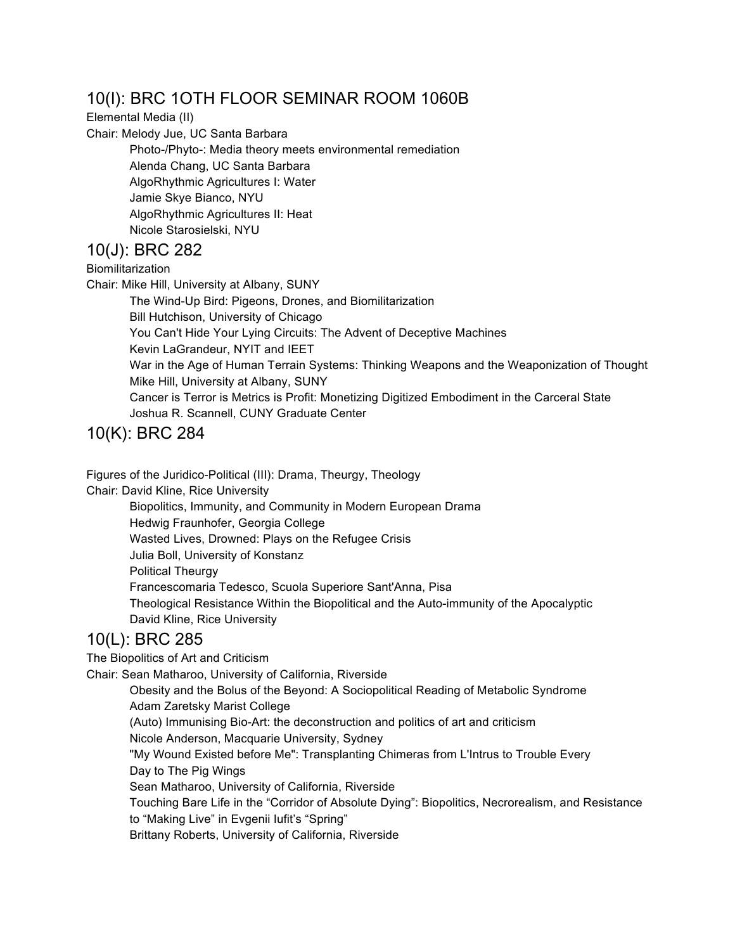## 10(I): BRC 1OTH FLOOR SEMINAR ROOM 1060B

Elemental Media (II)

Chair: Melody Jue, UC Santa Barbara

Photo-/Phyto-: Media theory meets environmental remediation Alenda Chang, UC Santa Barbara AlgoRhythmic Agricultures I: Water Jamie Skye Bianco, NYU AlgoRhythmic Agricultures II: Heat Nicole Starosielski, NYU

#### 10(J): BRC 282

**Biomilitarization** 

Chair: Mike Hill, University at Albany, SUNY

The Wind-Up Bird: Pigeons, Drones, and Biomilitarization Bill Hutchison, University of Chicago You Can't Hide Your Lying Circuits: The Advent of Deceptive Machines Kevin LaGrandeur, NYIT and IEET War in the Age of Human Terrain Systems: Thinking Weapons and the Weaponization of Thought Mike Hill, University at Albany, SUNY Cancer is Terror is Metrics is Profit: Monetizing Digitized Embodiment in the Carceral State Joshua R. Scannell, CUNY Graduate Center

10(K): BRC 284

Figures of the Juridico-Political (III): Drama, Theurgy, Theology

Chair: David Kline, Rice University

Biopolitics, Immunity, and Community in Modern European Drama Hedwig Fraunhofer, Georgia College Wasted Lives, Drowned: Plays on the Refugee Crisis Julia Boll, University of Konstanz Political Theurgy Francescomaria Tedesco, Scuola Superiore Sant'Anna, Pisa Theological Resistance Within the Biopolitical and the Auto-immunity of the Apocalyptic David Kline, Rice University

## 10(L): BRC 285

The Biopolitics of Art and Criticism

Chair: Sean Matharoo, University of California, Riverside

Obesity and the Bolus of the Beyond: A Sociopolitical Reading of Metabolic Syndrome Adam Zaretsky Marist College

(Auto) Immunising Bio-Art: the deconstruction and politics of art and criticism

Nicole Anderson, Macquarie University, Sydney

"My Wound Existed before Me": Transplanting Chimeras from L'Intrus to Trouble Every Day to The Pig Wings

Sean Matharoo, University of California, Riverside

Touching Bare Life in the "Corridor of Absolute Dying": Biopolitics, Necrorealism, and Resistance to "Making Live" in Evgenii Iufit's "Spring"

Brittany Roberts, University of California, Riverside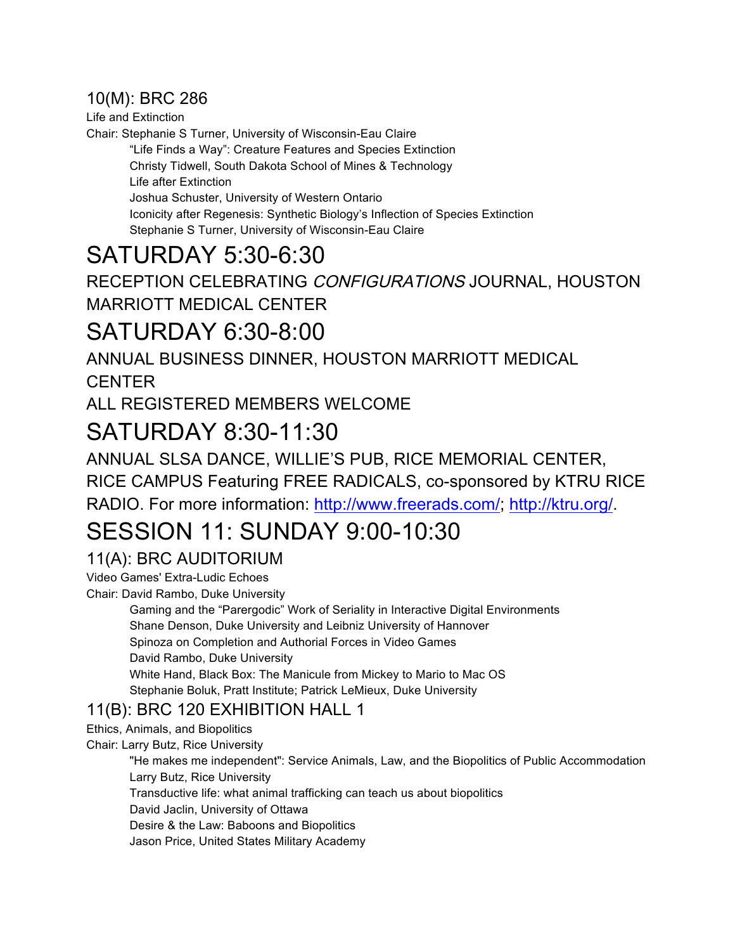## 10(M): BRC 286

Life and Extinction

Chair: Stephanie S Turner, University of Wisconsin-Eau Claire

"Life Finds a Way": Creature Features and Species Extinction Christy Tidwell, South Dakota School of Mines & Technology Life after Extinction Joshua Schuster, University of Western Ontario Iconicity after Regenesis: Synthetic Biology's Inflection of Species Extinction Stephanie S Turner, University of Wisconsin-Eau Claire

# SATURDAY 5:30-6:30

RECEPTION CELEBRATING CONFIGURATIONS JOURNAL, HOUSTON MARRIOTT MEDICAL CENTER

## SATURDAY 6:30-8:00

ANNUAL BUSINESS DINNER, HOUSTON MARRIOTT MEDICAL **CENTER** 

ALL REGISTERED MEMBERS WELCOME

## SATURDAY 8:30-11:30

ANNUAL SLSA DANCE, WILLIE'S PUB, RICE MEMORIAL CENTER,

RICE CAMPUS Featuring FREE RADICALS, co-sponsored by KTRU RICE

RADIO. For more information: http://www.freerads.com/; http://ktru.org/.

# SESSION 11: SUNDAY 9:00-10:30

## 11(A): BRC AUDITORIUM

Video Games' Extra-Ludic Echoes

Chair: David Rambo, Duke University

Gaming and the "Parergodic" Work of Seriality in Interactive Digital Environments Shane Denson, Duke University and Leibniz University of Hannover Spinoza on Completion and Authorial Forces in Video Games David Rambo, Duke University White Hand, Black Box: The Manicule from Mickey to Mario to Mac OS Stephanie Boluk, Pratt Institute; Patrick LeMieux, Duke University

## 11(B): BRC 120 EXHIBITION HALL 1

Ethics, Animals, and Biopolitics

Chair: Larry Butz, Rice University

"He makes me independent": Service Animals, Law, and the Biopolitics of Public Accommodation Larry Butz, Rice University Transductive life: what animal trafficking can teach us about biopolitics David Jaclin, University of Ottawa Desire & the Law: Baboons and Biopolitics

Jason Price, United States Military Academy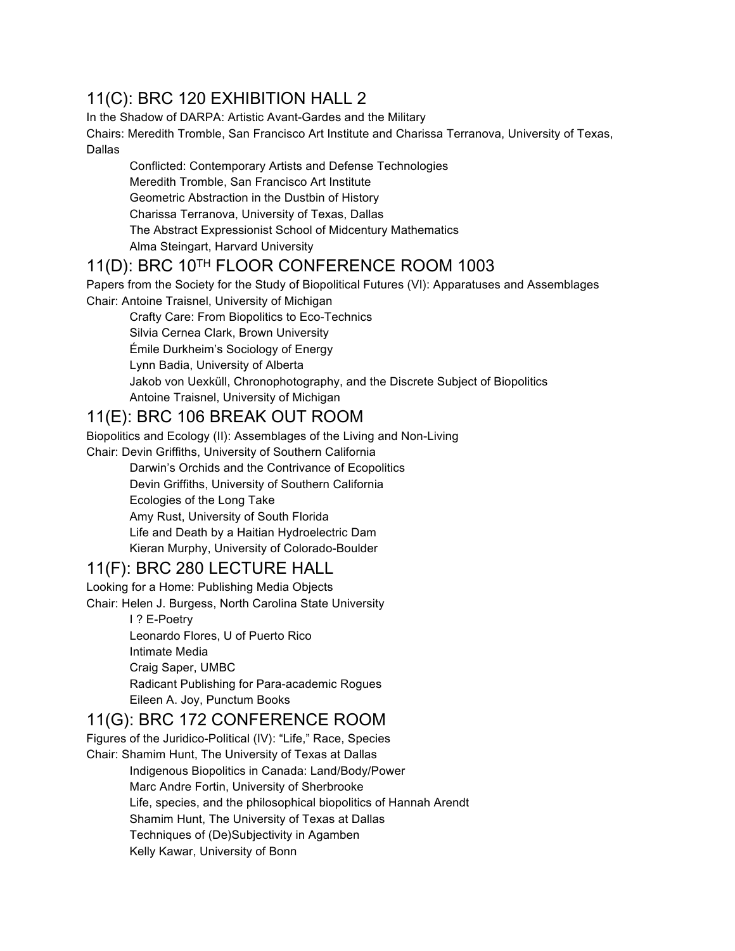## 11(C): BRC 120 EXHIBITION HALL 2

In the Shadow of DARPA: Artistic Avant-Gardes and the Military

Chairs: Meredith Tromble, San Francisco Art Institute and Charissa Terranova, University of Texas, Dallas

Conflicted: Contemporary Artists and Defense Technologies Meredith Tromble, San Francisco Art Institute Geometric Abstraction in the Dustbin of History Charissa Terranova, University of Texas, Dallas The Abstract Expressionist School of Midcentury Mathematics Alma Steingart, Harvard University

## 11(D): BRC 10TH FLOOR CONFERENCE ROOM 1003

Papers from the Society for the Study of Biopolitical Futures (VI): Apparatuses and Assemblages Chair: Antoine Traisnel, University of Michigan

Crafty Care: From Biopolitics to Eco-Technics

Silvia Cernea Clark, Brown University

Émile Durkheim's Sociology of Energy

Lynn Badia, University of Alberta

Jakob von Uexküll, Chronophotography, and the Discrete Subject of Biopolitics

Antoine Traisnel, University of Michigan

#### 11(E): BRC 106 BREAK OUT ROOM

Biopolitics and Ecology (II): Assemblages of the Living and Non-Living

Chair: Devin Griffiths, University of Southern California

Darwin's Orchids and the Contrivance of Ecopolitics Devin Griffiths, University of Southern California Ecologies of the Long Take Amy Rust, University of South Florida Life and Death by a Haitian Hydroelectric Dam Kieran Murphy, University of Colorado-Boulder

## 11(F): BRC 280 LECTURE HALL

Looking for a Home: Publishing Media Objects

Chair: Helen J. Burgess, North Carolina State University

I ? E-Poetry Leonardo Flores, U of Puerto Rico Intimate Media Craig Saper, UMBC Radicant Publishing for Para-academic Rogues Eileen A. Joy, Punctum Books

## 11(G): BRC 172 CONFERENCE ROOM

Figures of the Juridico-Political (IV): "Life," Race, Species Chair: Shamim Hunt, The University of Texas at Dallas Indigenous Biopolitics in Canada: Land/Body/Power Marc Andre Fortin, University of Sherbrooke Life, species, and the philosophical biopolitics of Hannah Arendt Shamim Hunt, The University of Texas at Dallas Techniques of (De)Subjectivity in Agamben Kelly Kawar, University of Bonn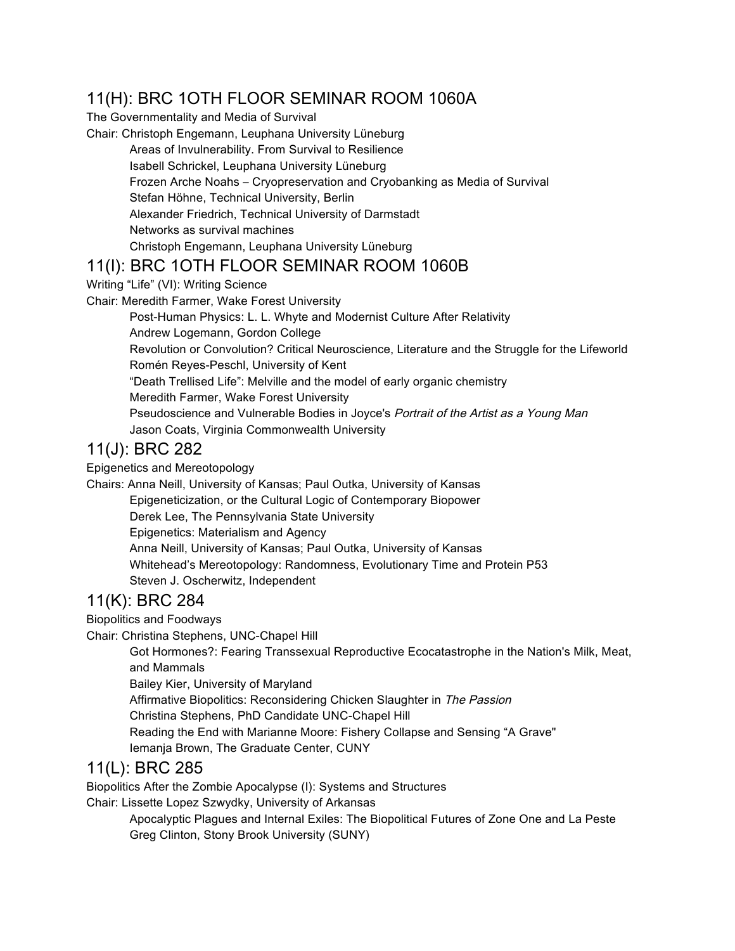## 11(H): BRC 1OTH FLOOR SEMINAR ROOM 1060A

The Governmentality and Media of Survival

Chair: Christoph Engemann, Leuphana University Lüneburg

Areas of Invulnerability. From Survival to Resilience Isabell Schrickel, Leuphana University Lüneburg Frozen Arche Noahs – Cryopreservation and Cryobanking as Media of Survival Stefan Höhne, Technical University, Berlin Alexander Friedrich, Technical University of Darmstadt Networks as survival machines Christoph Engemann, Leuphana University Lüneburg

#### 11(I): BRC 1OTH FLOOR SEMINAR ROOM 1060B

Writing "Life" (VI): Writing Science

Chair: Meredith Farmer, Wake Forest University

Post-Human Physics: L. L. Whyte and Modernist Culture After Relativity Andrew Logemann, Gordon College Revolution or Convolution? Critical Neuroscience, Literature and the Struggle for the Lifeworld Romén Reyes-Peschl, University of Kent "Death Trellised Life": Melville and the model of early organic chemistry Meredith Farmer, Wake Forest University Pseudoscience and Vulnerable Bodies in Joyce's Portrait of the Artist as a Young Man Jason Coats, Virginia Commonwealth University

#### 11(J): BRC 282

Epigenetics and Mereotopology

Chairs: Anna Neill, University of Kansas; Paul Outka, University of Kansas Epigeneticization, or the Cultural Logic of Contemporary Biopower Derek Lee, The Pennsylvania State University Epigenetics: Materialism and Agency Anna Neill, University of Kansas; Paul Outka, University of Kansas Whitehead's Mereotopology: Randomness, Evolutionary Time and Protein P53 Steven J. Oscherwitz, Independent

## 11(K): BRC 284

Biopolitics and Foodways

Chair: Christina Stephens, UNC-Chapel Hill

Got Hormones?: Fearing Transsexual Reproductive Ecocatastrophe in the Nation's Milk, Meat, and Mammals Bailey Kier, University of Maryland Affirmative Biopolitics: Reconsidering Chicken Slaughter in The Passion Christina Stephens, PhD Candidate UNC-Chapel Hill Reading the End with Marianne Moore: Fishery Collapse and Sensing "A Grave" Iemanja Brown, The Graduate Center, CUNY

#### 11(L): BRC 285

Biopolitics After the Zombie Apocalypse (I): Systems and Structures

Chair: Lissette Lopez Szwydky, University of Arkansas

Apocalyptic Plagues and Internal Exiles: The Biopolitical Futures of Zone One and La Peste Greg Clinton, Stony Brook University (SUNY)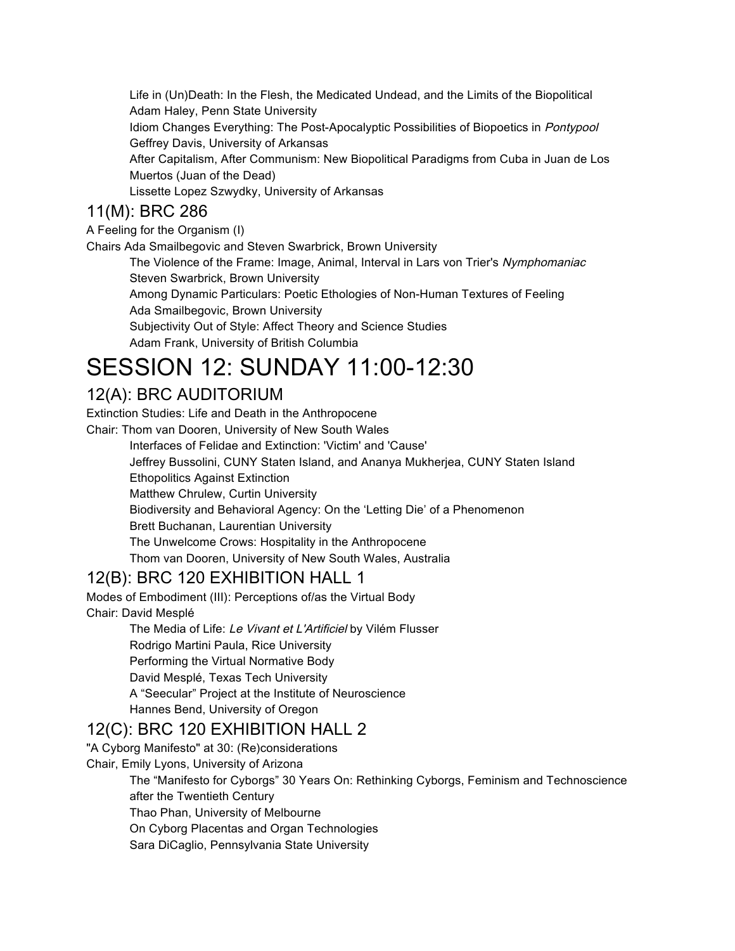Life in (Un)Death: In the Flesh, the Medicated Undead, and the Limits of the Biopolitical Adam Haley, Penn State University

Idiom Changes Everything: The Post-Apocalyptic Possibilities of Biopoetics in Pontypool Geffrey Davis, University of Arkansas

After Capitalism, After Communism: New Biopolitical Paradigms from Cuba in Juan de Los Muertos (Juan of the Dead)

Lissette Lopez Szwydky, University of Arkansas

#### 11(M): BRC 286

A Feeling for the Organism (I)

Chairs Ada Smailbegovic and Steven Swarbrick, Brown University

The Violence of the Frame: Image, Animal, Interval in Lars von Trier's Nymphomaniac Steven Swarbrick, Brown University

Among Dynamic Particulars: Poetic Ethologies of Non-Human Textures of Feeling Ada Smailbegovic, Brown University

Subjectivity Out of Style: Affect Theory and Science Studies

Adam Frank, University of British Columbia

# SESSION 12: SUNDAY 11:00-12:30

## 12(A): BRC AUDITORIUM

Extinction Studies: Life and Death in the Anthropocene

Chair: Thom van Dooren, University of New South Wales

Interfaces of Felidae and Extinction: 'Victim' and 'Cause'

Jeffrey Bussolini, CUNY Staten Island, and Ananya Mukherjea, CUNY Staten Island

Ethopolitics Against Extinction

Matthew Chrulew, Curtin University

Biodiversity and Behavioral Agency: On the 'Letting Die' of a Phenomenon

Brett Buchanan, Laurentian University

The Unwelcome Crows: Hospitality in the Anthropocene

Thom van Dooren, University of New South Wales, Australia

#### 12(B): BRC 120 EXHIBITION HALL 1

Modes of Embodiment (III): Perceptions of/as the Virtual Body Chair: David Mesplé

> The Media of Life: Le Vivant et L'Artificiel by Vilém Flusser Rodrigo Martini Paula, Rice University Performing the Virtual Normative Body David Mesplé, Texas Tech University A "Seecular" Project at the Institute of Neuroscience Hannes Bend, University of Oregon

#### 12(C): BRC 120 EXHIBITION HALL 2

"A Cyborg Manifesto" at 30: (Re)considerations

Chair, Emily Lyons, University of Arizona

The "Manifesto for Cyborgs" 30 Years On: Rethinking Cyborgs, Feminism and Technoscience after the Twentieth Century

Thao Phan, University of Melbourne

On Cyborg Placentas and Organ Technologies

Sara DiCaglio, Pennsylvania State University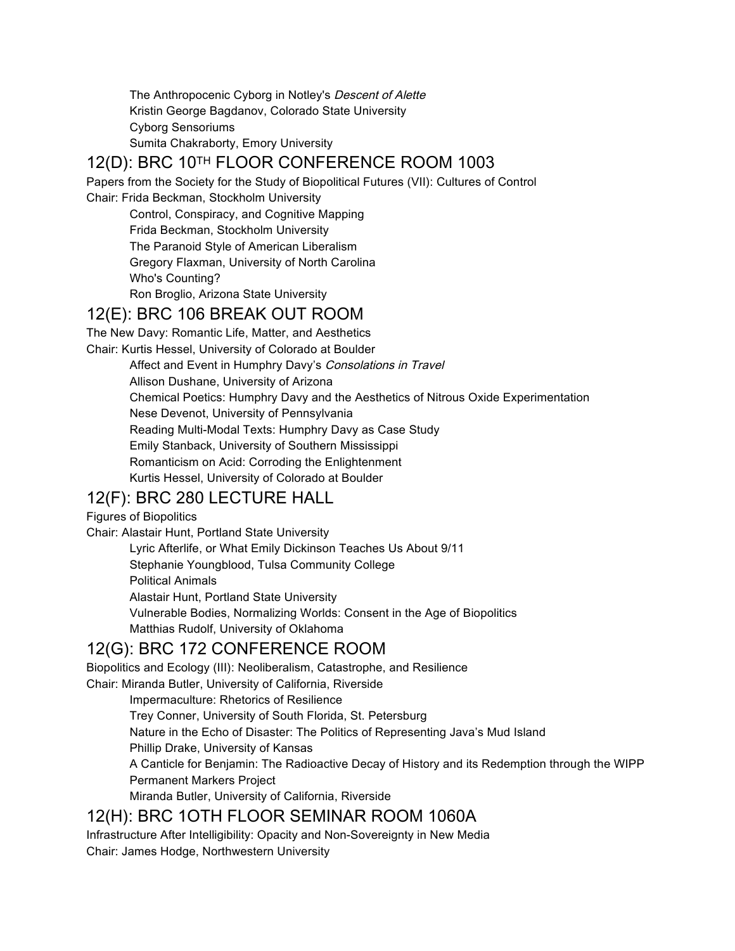The Anthropocenic Cyborg in Notley's Descent of Alette Kristin George Bagdanov, Colorado State University Cyborg Sensoriums Sumita Chakraborty, Emory University

## 12(D): BRC 10TH FLOOR CONFERENCE ROOM 1003

Papers from the Society for the Study of Biopolitical Futures (VII): Cultures of Control Chair: Frida Beckman, Stockholm University

Control, Conspiracy, and Cognitive Mapping Frida Beckman, Stockholm University The Paranoid Style of American Liberalism Gregory Flaxman, University of North Carolina Who's Counting? Ron Broglio, Arizona State University

#### 12(E): BRC 106 BREAK OUT ROOM

The New Davy: Romantic Life, Matter, and Aesthetics Chair: Kurtis Hessel, University of Colorado at Boulder

Affect and Event in Humphry Davy's Consolations in Travel Allison Dushane, University of Arizona Chemical Poetics: Humphry Davy and the Aesthetics of Nitrous Oxide Experimentation Nese Devenot, University of Pennsylvania Reading Multi-Modal Texts: Humphry Davy as Case Study Emily Stanback, University of Southern Mississippi Romanticism on Acid: Corroding the Enlightenment Kurtis Hessel, University of Colorado at Boulder

## 12(F): BRC 280 LECTURE HALL

## Figures of Biopolitics

Chair: Alastair Hunt, Portland State University Lyric Afterlife, or What Emily Dickinson Teaches Us About 9/11 Stephanie Youngblood, Tulsa Community College Political Animals Alastair Hunt, Portland State University Vulnerable Bodies, Normalizing Worlds: Consent in the Age of Biopolitics Matthias Rudolf, University of Oklahoma

## 12(G): BRC 172 CONFERENCE ROOM

Biopolitics and Ecology (III): Neoliberalism, Catastrophe, and Resilience Chair: Miranda Butler, University of California, Riverside

> Impermaculture: Rhetorics of Resilience Trey Conner, University of South Florida, St. Petersburg Nature in the Echo of Disaster: The Politics of Representing Java's Mud Island Phillip Drake, University of Kansas A Canticle for Benjamin: The Radioactive Decay of History and its Redemption through the WIPP Permanent Markers Project Miranda Butler, University of California, Riverside

## 12(H): BRC 1OTH FLOOR SEMINAR ROOM 1060A

Infrastructure After Intelligibility: Opacity and Non-Sovereignty in New Media Chair: James Hodge, Northwestern University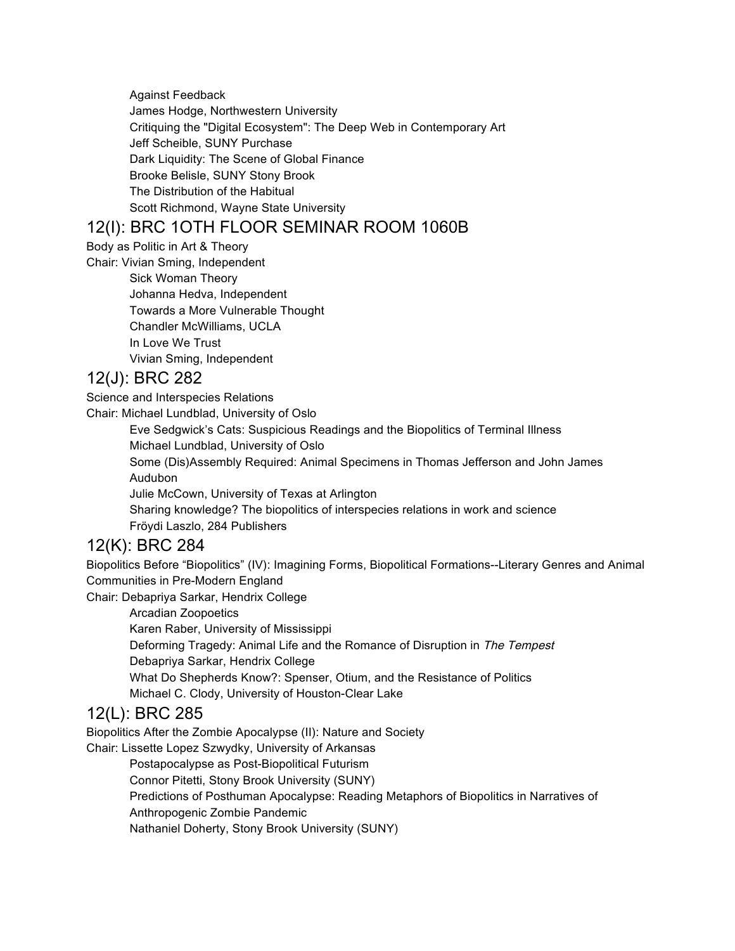Against Feedback James Hodge, Northwestern University Critiquing the "Digital Ecosystem": The Deep Web in Contemporary Art Jeff Scheible, SUNY Purchase Dark Liquidity: The Scene of Global Finance Brooke Belisle, SUNY Stony Brook The Distribution of the Habitual Scott Richmond, Wayne State University

### 12(I): BRC 1OTH FLOOR SEMINAR ROOM 1060B

Body as Politic in Art & Theory

Chair: Vivian Sming, Independent

Sick Woman Theory Johanna Hedva, Independent Towards a More Vulnerable Thought Chandler McWilliams, UCLA In Love We Trust Vivian Sming, Independent

## 12(J): BRC 282

Science and Interspecies Relations

Chair: Michael Lundblad, University of Oslo

Eve Sedgwick's Cats: Suspicious Readings and the Biopolitics of Terminal Illness Michael Lundblad, University of Oslo Some (Dis)Assembly Required: Animal Specimens in Thomas Jefferson and John James

Audubon

Julie McCown, University of Texas at Arlington

Sharing knowledge? The biopolitics of interspecies relations in work and science Fröydi Laszlo, 284 Publishers

#### 12(K): BRC 284

Biopolitics Before "Biopolitics" (IV): Imagining Forms, Biopolitical Formations--Literary Genres and Animal Communities in Pre-Modern England

Chair: Debapriya Sarkar, Hendrix College

Arcadian Zoopoetics

Karen Raber, University of Mississippi

- Deforming Tragedy: Animal Life and the Romance of Disruption in The Tempest
- Debapriya Sarkar, Hendrix College

What Do Shepherds Know?: Spenser, Otium, and the Resistance of Politics

Michael C. Clody, University of Houston-Clear Lake

## 12(L): BRC 285

Biopolitics After the Zombie Apocalypse (II): Nature and Society

Chair: Lissette Lopez Szwydky, University of Arkansas

Postapocalypse as Post-Biopolitical Futurism

Connor Pitetti, Stony Brook University (SUNY)

Predictions of Posthuman Apocalypse: Reading Metaphors of Biopolitics in Narratives of

Anthropogenic Zombie Pandemic

Nathaniel Doherty, Stony Brook University (SUNY)